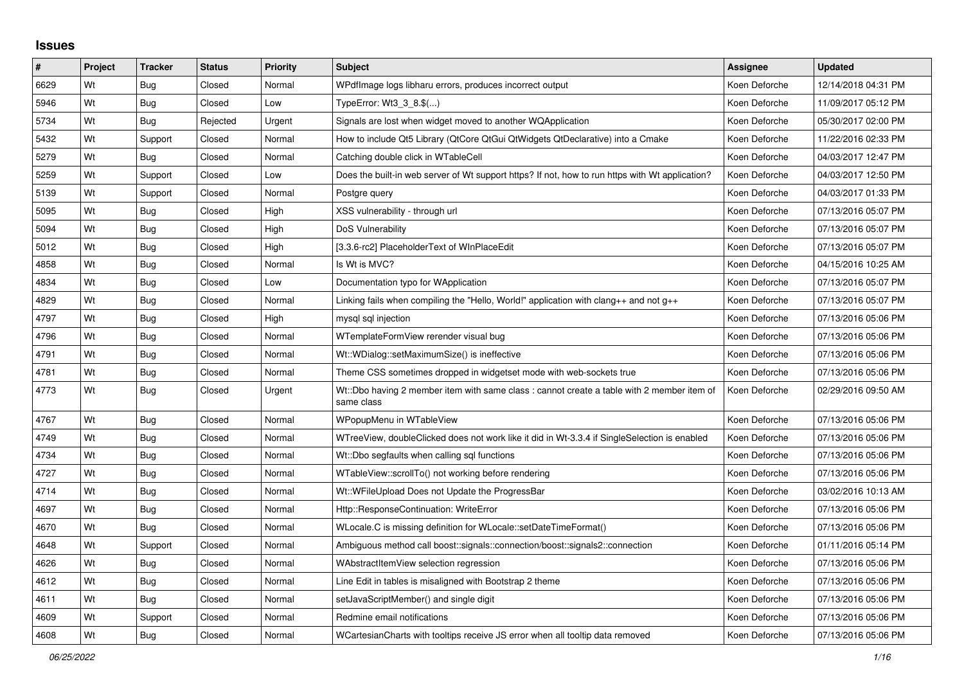## **Issues**

| #    | Project | <b>Tracker</b> | <b>Status</b> | <b>Priority</b> | <b>Subject</b>                                                                                           | Assignee      | <b>Updated</b>      |
|------|---------|----------------|---------------|-----------------|----------------------------------------------------------------------------------------------------------|---------------|---------------------|
| 6629 | Wt      | <b>Bug</b>     | Closed        | Normal          | WPdflmage logs libharu errors, produces incorrect output                                                 | Koen Deforche | 12/14/2018 04:31 PM |
| 5946 | Wt      | <b>Bug</b>     | Closed        | Low             | TypeError: Wt3_3_8.\$()                                                                                  | Koen Deforche | 11/09/2017 05:12 PM |
| 5734 | Wt      | <b>Bug</b>     | Rejected      | Urgent          | Signals are lost when widget moved to another WQApplication                                              | Koen Deforche | 05/30/2017 02:00 PM |
| 5432 | Wt      | Support        | Closed        | Normal          | How to include Qt5 Library (QtCore QtGui QtWidgets QtDeclarative) into a Cmake                           | Koen Deforche | 11/22/2016 02:33 PM |
| 5279 | Wt      | <b>Bug</b>     | Closed        | Normal          | Catching double click in WTableCell                                                                      | Koen Deforche | 04/03/2017 12:47 PM |
| 5259 | Wt      | Support        | Closed        | Low             | Does the built-in web server of Wt support https? If not, how to run https with Wt application?          | Koen Deforche | 04/03/2017 12:50 PM |
| 5139 | Wt      | Support        | Closed        | Normal          | Postgre query                                                                                            | Koen Deforche | 04/03/2017 01:33 PM |
| 5095 | Wt      | Bug            | Closed        | High            | XSS vulnerability - through url                                                                          | Koen Deforche | 07/13/2016 05:07 PM |
| 5094 | Wt      | <b>Bug</b>     | Closed        | High            | DoS Vulnerability                                                                                        | Koen Deforche | 07/13/2016 05:07 PM |
| 5012 | Wt      | <b>Bug</b>     | Closed        | High            | [3.3.6-rc2] PlaceholderText of WInPlaceEdit                                                              | Koen Deforche | 07/13/2016 05:07 PM |
| 4858 | Wt      | <b>Bug</b>     | Closed        | Normal          | Is Wt is MVC?                                                                                            | Koen Deforche | 04/15/2016 10:25 AM |
| 4834 | Wt      | Bug            | Closed        | Low             | Documentation typo for WApplication                                                                      | Koen Deforche | 07/13/2016 05:07 PM |
| 4829 | Wt      | Bug            | Closed        | Normal          | Linking fails when compiling the "Hello, World!" application with clang++ and not $g_{++}$               | Koen Deforche | 07/13/2016 05:07 PM |
| 4797 | Wt      | Bug            | Closed        | High            | mysql sql injection                                                                                      | Koen Deforche | 07/13/2016 05:06 PM |
| 4796 | Wt      | Bug            | Closed        | Normal          | WTemplateFormView rerender visual bug                                                                    | Koen Deforche | 07/13/2016 05:06 PM |
| 4791 | Wt      | <b>Bug</b>     | Closed        | Normal          | Wt::WDialog::setMaximumSize() is ineffective                                                             | Koen Deforche | 07/13/2016 05:06 PM |
| 4781 | Wt      | Bug            | Closed        | Normal          | Theme CSS sometimes dropped in widgetset mode with web-sockets true                                      | Koen Deforche | 07/13/2016 05:06 PM |
| 4773 | Wt      | Bug            | Closed        | Urgent          | Wt::Dbo having 2 member item with same class : cannot create a table with 2 member item of<br>same class | Koen Deforche | 02/29/2016 09:50 AM |
| 4767 | Wt      | Bug            | Closed        | Normal          | WPopupMenu in WTableView                                                                                 | Koen Deforche | 07/13/2016 05:06 PM |
| 4749 | Wt      | Bug            | Closed        | Normal          | WTreeView, doubleClicked does not work like it did in Wt-3.3.4 if SingleSelection is enabled             | Koen Deforche | 07/13/2016 05:06 PM |
| 4734 | Wt      | <b>Bug</b>     | Closed        | Normal          | Wt::Dbo segfaults when calling sql functions                                                             | Koen Deforche | 07/13/2016 05:06 PM |
| 4727 | Wt      | Bug            | Closed        | Normal          | WTableView::scrollTo() not working before rendering                                                      | Koen Deforche | 07/13/2016 05:06 PM |
| 4714 | Wt      | <b>Bug</b>     | Closed        | Normal          | Wt::WFileUpload Does not Update the ProgressBar                                                          | Koen Deforche | 03/02/2016 10:13 AM |
| 4697 | Wt      | Bug            | Closed        | Normal          | Http::ResponseContinuation: WriteError                                                                   | Koen Deforche | 07/13/2016 05:06 PM |
| 4670 | Wt      | <b>Bug</b>     | Closed        | Normal          | WLocale.C is missing definition for WLocale::setDateTimeFormat()                                         | Koen Deforche | 07/13/2016 05:06 PM |
| 4648 | Wt      | Support        | Closed        | Normal          | Ambiguous method call boost::signals::connection/boost::signals2::connection                             | Koen Deforche | 01/11/2016 05:14 PM |
| 4626 | Wt      | <b>Bug</b>     | Closed        | Normal          | WAbstractItemView selection regression                                                                   | Koen Deforche | 07/13/2016 05:06 PM |
| 4612 | Wt      | <b>Bug</b>     | Closed        | Normal          | Line Edit in tables is misaligned with Bootstrap 2 theme                                                 | Koen Deforche | 07/13/2016 05:06 PM |
| 4611 | Wt      | Bug            | Closed        | Normal          | setJavaScriptMember() and single digit                                                                   | Koen Deforche | 07/13/2016 05:06 PM |
| 4609 | Wt      | Support        | Closed        | Normal          | Redmine email notifications                                                                              | Koen Deforche | 07/13/2016 05:06 PM |
| 4608 | Wt      | <b>Bug</b>     | Closed        | Normal          | WCartesianCharts with tooltips receive JS error when all tooltip data removed                            | Koen Deforche | 07/13/2016 05:06 PM |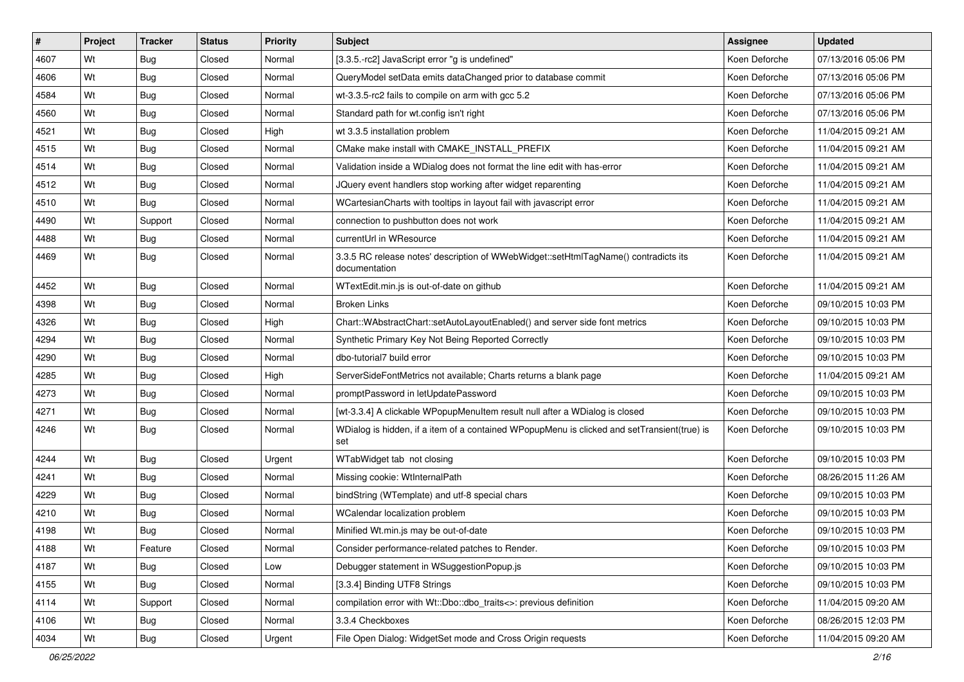| $\vert$ # | Project | <b>Tracker</b> | <b>Status</b> | <b>Priority</b> | Subject                                                                                              | <b>Assignee</b> | <b>Updated</b>      |
|-----------|---------|----------------|---------------|-----------------|------------------------------------------------------------------------------------------------------|-----------------|---------------------|
| 4607      | Wt      | <b>Bug</b>     | Closed        | Normal          | [3.3.5.-rc2] JavaScript error "g is undefined"                                                       | Koen Deforche   | 07/13/2016 05:06 PM |
| 4606      | Wt      | <b>Bug</b>     | Closed        | Normal          | QueryModel setData emits dataChanged prior to database commit                                        | Koen Deforche   | 07/13/2016 05:06 PM |
| 4584      | Wt      | <b>Bug</b>     | Closed        | Normal          | wt-3.3.5-rc2 fails to compile on arm with gcc 5.2                                                    | Koen Deforche   | 07/13/2016 05:06 PM |
| 4560      | Wt      | <b>Bug</b>     | Closed        | Normal          | Standard path for wt.config isn't right                                                              | Koen Deforche   | 07/13/2016 05:06 PM |
| 4521      | Wt      | <b>Bug</b>     | Closed        | High            | wt 3.3.5 installation problem                                                                        | Koen Deforche   | 11/04/2015 09:21 AM |
| 4515      | Wt      | <b>Bug</b>     | Closed        | Normal          | CMake make install with CMAKE INSTALL PREFIX                                                         | Koen Deforche   | 11/04/2015 09:21 AM |
| 4514      | Wt      | <b>Bug</b>     | Closed        | Normal          | Validation inside a WDialog does not format the line edit with has-error                             | Koen Deforche   | 11/04/2015 09:21 AM |
| 4512      | Wt      | <b>Bug</b>     | Closed        | Normal          | JQuery event handlers stop working after widget reparenting                                          | Koen Deforche   | 11/04/2015 09:21 AM |
| 4510      | Wt      | <b>Bug</b>     | Closed        | Normal          | WCartesianCharts with tooltips in layout fail with javascript error                                  | Koen Deforche   | 11/04/2015 09:21 AM |
| 4490      | Wt      | Support        | Closed        | Normal          | connection to pushbutton does not work                                                               | Koen Deforche   | 11/04/2015 09:21 AM |
| 4488      | Wt      | <b>Bug</b>     | Closed        | Normal          | currentUrl in WResource                                                                              | Koen Deforche   | 11/04/2015 09:21 AM |
| 4469      | Wt      | <b>Bug</b>     | Closed        | Normal          | 3.3.5 RC release notes' description of WWebWidget::setHtmlTagName() contradicts its<br>documentation | Koen Deforche   | 11/04/2015 09:21 AM |
| 4452      | Wt      | <b>Bug</b>     | Closed        | Normal          | WTextEdit.min.js is out-of-date on github                                                            | Koen Deforche   | 11/04/2015 09:21 AM |
| 4398      | Wt      | <b>Bug</b>     | Closed        | Normal          | <b>Broken Links</b>                                                                                  | Koen Deforche   | 09/10/2015 10:03 PM |
| 4326      | Wt      | <b>Bug</b>     | Closed        | High            | Chart::WAbstractChart::setAutoLayoutEnabled() and server side font metrics                           | Koen Deforche   | 09/10/2015 10:03 PM |
| 4294      | Wt      | <b>Bug</b>     | Closed        | Normal          | Synthetic Primary Key Not Being Reported Correctly                                                   | Koen Deforche   | 09/10/2015 10:03 PM |
| 4290      | Wt      | <b>Bug</b>     | Closed        | Normal          | dbo-tutorial7 build error                                                                            | Koen Deforche   | 09/10/2015 10:03 PM |
| 4285      | Wt      | <b>Bug</b>     | Closed        | High            | ServerSideFontMetrics not available; Charts returns a blank page                                     | Koen Deforche   | 11/04/2015 09:21 AM |
| 4273      | Wt      | <b>Bug</b>     | Closed        | Normal          | promptPassword in letUpdatePassword                                                                  | Koen Deforche   | 09/10/2015 10:03 PM |
| 4271      | Wt      | <b>Bug</b>     | Closed        | Normal          | [wt-3.3.4] A clickable WPopupMenuItem result null after a WDialog is closed                          | Koen Deforche   | 09/10/2015 10:03 PM |
| 4246      | Wt      | <b>Bug</b>     | Closed        | Normal          | WDialog is hidden, if a item of a contained WPopupMenu is clicked and setTransient(true) is<br>set   | Koen Deforche   | 09/10/2015 10:03 PM |
| 4244      | Wt      | <b>Bug</b>     | Closed        | Urgent          | WTabWidget tab not closing                                                                           | Koen Deforche   | 09/10/2015 10:03 PM |
| 4241      | Wt      | <b>Bug</b>     | Closed        | Normal          | Missing cookie: WtInternalPath                                                                       | Koen Deforche   | 08/26/2015 11:26 AM |
| 4229      | Wt      | <b>Bug</b>     | Closed        | Normal          | bindString (WTemplate) and utf-8 special chars                                                       | Koen Deforche   | 09/10/2015 10:03 PM |
| 4210      | Wt      | <b>Bug</b>     | Closed        | Normal          | WCalendar localization problem                                                                       | Koen Deforche   | 09/10/2015 10:03 PM |
| 4198      | Wt      | <b>Bug</b>     | Closed        | Normal          | Minified Wt.min.js may be out-of-date                                                                | Koen Deforche   | 09/10/2015 10:03 PM |
| 4188      | Wt      | Feature        | Closed        | Normal          | Consider performance-related patches to Render.                                                      | Koen Deforche   | 09/10/2015 10:03 PM |
| 4187      | Wt      | <b>Bug</b>     | Closed        | Low             | Debugger statement in WSuggestionPopup.js                                                            | Koen Deforche   | 09/10/2015 10:03 PM |
| 4155      | Wt      | Bug            | Closed        | Normal          | [3.3.4] Binding UTF8 Strings                                                                         | Koen Deforche   | 09/10/2015 10:03 PM |
| 4114      | Wt      | Support        | Closed        | Normal          | compilation error with Wt::Dbo::dbo_traits<>: previous definition                                    | Koen Deforche   | 11/04/2015 09:20 AM |
| 4106      | Wt      | <b>Bug</b>     | Closed        | Normal          | 3.3.4 Checkboxes                                                                                     | Koen Deforche   | 08/26/2015 12:03 PM |
| 4034      | Wt      | <b>Bug</b>     | Closed        | Urgent          | File Open Dialog: WidgetSet mode and Cross Origin requests                                           | Koen Deforche   | 11/04/2015 09:20 AM |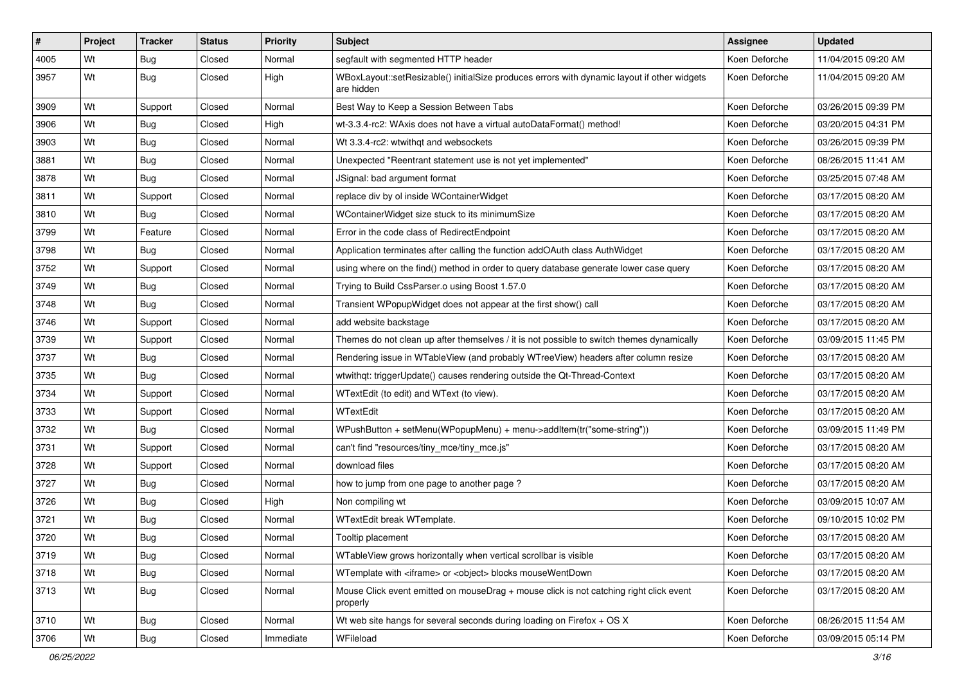| $\vert$ # | Project | <b>Tracker</b> | <b>Status</b> | <b>Priority</b> | <b>Subject</b>                                                                                            | <b>Assignee</b> | <b>Updated</b>      |
|-----------|---------|----------------|---------------|-----------------|-----------------------------------------------------------------------------------------------------------|-----------------|---------------------|
| 4005      | Wt      | <b>Bug</b>     | Closed        | Normal          | segfault with segmented HTTP header                                                                       | Koen Deforche   | 11/04/2015 09:20 AM |
| 3957      | Wt      | <b>Bug</b>     | Closed        | High            | WBoxLayout::setResizable() initialSize produces errors with dynamic layout if other widgets<br>are hidden | Koen Deforche   | 11/04/2015 09:20 AM |
| 3909      | Wt      | Support        | Closed        | Normal          | Best Way to Keep a Session Between Tabs                                                                   | Koen Deforche   | 03/26/2015 09:39 PM |
| 3906      | Wt      | Bug            | Closed        | High            | wt-3.3.4-rc2: WAxis does not have a virtual autoDataFormat() method!                                      | Koen Deforche   | 03/20/2015 04:31 PM |
| 3903      | Wt      | <b>Bug</b>     | Closed        | Normal          | Wt 3.3.4-rc2: wtwithgt and websockets                                                                     | Koen Deforche   | 03/26/2015 09:39 PM |
| 3881      | Wt      | <b>Bug</b>     | Closed        | Normal          | Unexpected "Reentrant statement use is not yet implemented"                                               | Koen Deforche   | 08/26/2015 11:41 AM |
| 3878      | Wt      | Bug            | Closed        | Normal          | JSignal: bad argument format                                                                              | Koen Deforche   | 03/25/2015 07:48 AM |
| 3811      | Wt      | Support        | Closed        | Normal          | replace div by ol inside WContainerWidget                                                                 | Koen Deforche   | 03/17/2015 08:20 AM |
| 3810      | Wt      | Bug            | Closed        | Normal          | WContainerWidget size stuck to its minimumSize                                                            | Koen Deforche   | 03/17/2015 08:20 AM |
| 3799      | Wt      | Feature        | Closed        | Normal          | Error in the code class of RedirectEndpoint                                                               | Koen Deforche   | 03/17/2015 08:20 AM |
| 3798      | Wt      | <b>Bug</b>     | Closed        | Normal          | Application terminates after calling the function addOAuth class AuthWidget                               | Koen Deforche   | 03/17/2015 08:20 AM |
| 3752      | Wt      | Support        | Closed        | Normal          | using where on the find() method in order to query database generate lower case query                     | Koen Deforche   | 03/17/2015 08:20 AM |
| 3749      | Wt      | <b>Bug</b>     | Closed        | Normal          | Trying to Build CssParser.o using Boost 1.57.0                                                            | Koen Deforche   | 03/17/2015 08:20 AM |
| 3748      | Wt      | <b>Bug</b>     | Closed        | Normal          | Transient WPopupWidget does not appear at the first show() call                                           | Koen Deforche   | 03/17/2015 08:20 AM |
| 3746      | Wt      | Support        | Closed        | Normal          | add website backstage                                                                                     | Koen Deforche   | 03/17/2015 08:20 AM |
| 3739      | Wt      | Support        | Closed        | Normal          | Themes do not clean up after themselves / it is not possible to switch themes dynamically                 | Koen Deforche   | 03/09/2015 11:45 PM |
| 3737      | Wt      | Bug            | Closed        | Normal          | Rendering issue in WTableView (and probably WTreeView) headers after column resize                        | Koen Deforche   | 03/17/2015 08:20 AM |
| 3735      | Wt      | <b>Bug</b>     | Closed        | Normal          | wtwithgt: triggerUpdate() causes rendering outside the Qt-Thread-Context                                  | Koen Deforche   | 03/17/2015 08:20 AM |
| 3734      | Wt      | Support        | Closed        | Normal          | WTextEdit (to edit) and WText (to view).                                                                  | Koen Deforche   | 03/17/2015 08:20 AM |
| 3733      | Wt      | Support        | Closed        | Normal          | WTextEdit                                                                                                 | Koen Deforche   | 03/17/2015 08:20 AM |
| 3732      | Wt      | <b>Bug</b>     | Closed        | Normal          | WPushButton + setMenu(WPopupMenu) + menu->addItem(tr("some-string"))                                      | Koen Deforche   | 03/09/2015 11:49 PM |
| 3731      | Wt      | Support        | Closed        | Normal          | can't find "resources/tiny_mce/tiny_mce.js"                                                               | Koen Deforche   | 03/17/2015 08:20 AM |
| 3728      | Wt      | Support        | Closed        | Normal          | download files                                                                                            | Koen Deforche   | 03/17/2015 08:20 AM |
| 3727      | Wt      | <b>Bug</b>     | Closed        | Normal          | how to jump from one page to another page?                                                                | Koen Deforche   | 03/17/2015 08:20 AM |
| 3726      | Wt      | <b>Bug</b>     | Closed        | High            | Non compiling wt                                                                                          | Koen Deforche   | 03/09/2015 10:07 AM |
| 3721      | Wt      | <b>Bug</b>     | Closed        | Normal          | WTextEdit break WTemplate.                                                                                | Koen Deforche   | 09/10/2015 10:02 PM |
| 3720      | Wt      | <b>Bug</b>     | Closed        | Normal          | Tooltip placement                                                                                         | Koen Deforche   | 03/17/2015 08:20 AM |
| 3719      | Wt      | <b>Bug</b>     | Closed        | Normal          | WTableView grows horizontally when vertical scrollbar is visible                                          | Koen Deforche   | 03/17/2015 08:20 AM |
| 3718      | Wt      | <b>Bug</b>     | Closed        | Normal          | WTemplate with <iframe> or <object> blocks mouseWentDown</object></iframe>                                | Koen Deforche   | 03/17/2015 08:20 AM |
| 3713      | Wt      | <b>Bug</b>     | Closed        | Normal          | Mouse Click event emitted on mouseDrag + mouse click is not catching right click event<br>properly        | Koen Deforche   | 03/17/2015 08:20 AM |
| 3710      | Wt      | <b>Bug</b>     | Closed        | Normal          | Wt web site hangs for several seconds during loading on Firefox $+$ OS X                                  | Koen Deforche   | 08/26/2015 11:54 AM |
| 3706      | Wt      | <b>Bug</b>     | Closed        | Immediate       | WFileload                                                                                                 | Koen Deforche   | 03/09/2015 05:14 PM |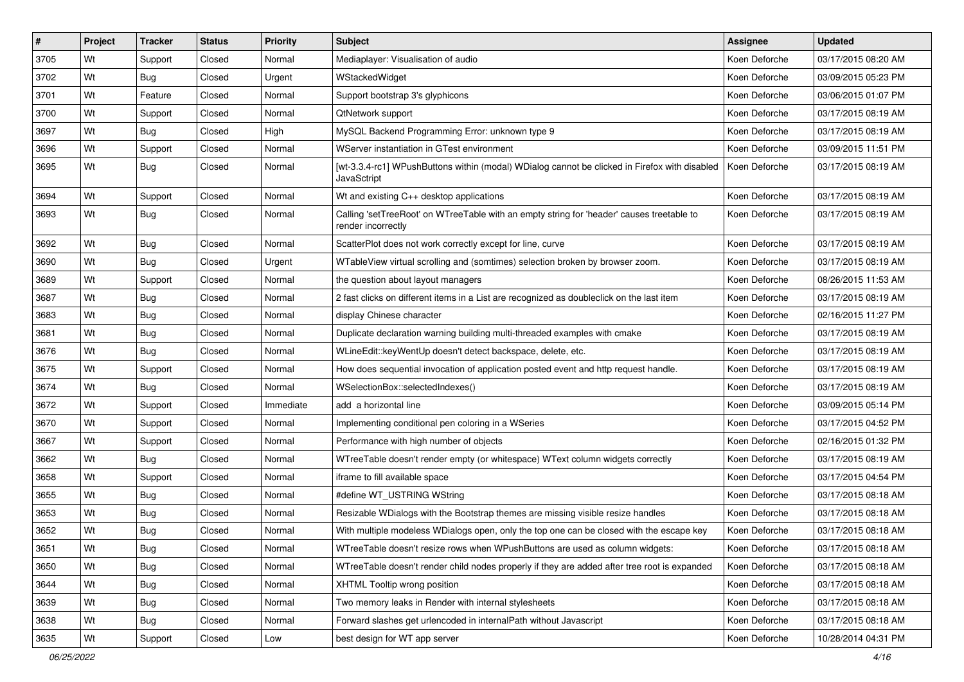| $\sharp$ | Project | <b>Tracker</b> | <b>Status</b> | <b>Priority</b> | <b>Subject</b>                                                                                                  | Assignee      | <b>Updated</b>      |
|----------|---------|----------------|---------------|-----------------|-----------------------------------------------------------------------------------------------------------------|---------------|---------------------|
| 3705     | Wt      | Support        | Closed        | Normal          | Mediaplayer: Visualisation of audio                                                                             | Koen Deforche | 03/17/2015 08:20 AM |
| 3702     | Wt      | <b>Bug</b>     | Closed        | Urgent          | WStackedWidget                                                                                                  | Koen Deforche | 03/09/2015 05:23 PM |
| 3701     | Wt      | Feature        | Closed        | Normal          | Support bootstrap 3's glyphicons                                                                                | Koen Deforche | 03/06/2015 01:07 PM |
| 3700     | Wt      | Support        | Closed        | Normal          | QtNetwork support                                                                                               | Koen Deforche | 03/17/2015 08:19 AM |
| 3697     | Wt      | <b>Bug</b>     | Closed        | High            | MySQL Backend Programming Error: unknown type 9                                                                 | Koen Deforche | 03/17/2015 08:19 AM |
| 3696     | Wt      | Support        | Closed        | Normal          | WServer instantiation in GTest environment                                                                      | Koen Deforche | 03/09/2015 11:51 PM |
| 3695     | Wt      | <b>Bug</b>     | Closed        | Normal          | [wt-3.3.4-rc1] WPushButtons within (modal) WDialog cannot be clicked in Firefox with disabled<br>JavaSctript    | Koen Deforche | 03/17/2015 08:19 AM |
| 3694     | Wt      | Support        | Closed        | Normal          | Wt and existing C++ desktop applications                                                                        | Koen Deforche | 03/17/2015 08:19 AM |
| 3693     | Wt      | <b>Bug</b>     | Closed        | Normal          | Calling 'setTreeRoot' on WTreeTable with an empty string for 'header' causes treetable to<br>render incorrectly | Koen Deforche | 03/17/2015 08:19 AM |
| 3692     | Wt      | <b>Bug</b>     | Closed        | Normal          | ScatterPlot does not work correctly except for line, curve                                                      | Koen Deforche | 03/17/2015 08:19 AM |
| 3690     | Wt      | <b>Bug</b>     | Closed        | Urgent          | WTableView virtual scrolling and (somtimes) selection broken by browser zoom.                                   | Koen Deforche | 03/17/2015 08:19 AM |
| 3689     | Wt      | Support        | Closed        | Normal          | the question about layout managers                                                                              | Koen Deforche | 08/26/2015 11:53 AM |
| 3687     | Wt      | <b>Bug</b>     | Closed        | Normal          | 2 fast clicks on different items in a List are recognized as doubleclick on the last item                       | Koen Deforche | 03/17/2015 08:19 AM |
| 3683     | Wt      | <b>Bug</b>     | Closed        | Normal          | display Chinese character                                                                                       | Koen Deforche | 02/16/2015 11:27 PM |
| 3681     | Wt      | <b>Bug</b>     | Closed        | Normal          | Duplicate declaration warning building multi-threaded examples with cmake                                       | Koen Deforche | 03/17/2015 08:19 AM |
| 3676     | Wt      | <b>Bug</b>     | Closed        | Normal          | WLineEdit::keyWentUp doesn't detect backspace, delete, etc.                                                     | Koen Deforche | 03/17/2015 08:19 AM |
| 3675     | Wt      | Support        | Closed        | Normal          | How does sequential invocation of application posted event and http request handle.                             | Koen Deforche | 03/17/2015 08:19 AM |
| 3674     | Wt      | <b>Bug</b>     | Closed        | Normal          | WSelectionBox::selectedIndexes()                                                                                | Koen Deforche | 03/17/2015 08:19 AM |
| 3672     | Wt      | Support        | Closed        | Immediate       | add a horizontal line                                                                                           | Koen Deforche | 03/09/2015 05:14 PM |
| 3670     | Wt      | Support        | Closed        | Normal          | Implementing conditional pen coloring in a WSeries                                                              | Koen Deforche | 03/17/2015 04:52 PM |
| 3667     | Wt      | Support        | Closed        | Normal          | Performance with high number of objects                                                                         | Koen Deforche | 02/16/2015 01:32 PM |
| 3662     | Wt      | <b>Bug</b>     | Closed        | Normal          | WTreeTable doesn't render empty (or whitespace) WText column widgets correctly                                  | Koen Deforche | 03/17/2015 08:19 AM |
| 3658     | Wt      | Support        | Closed        | Normal          | iframe to fill available space                                                                                  | Koen Deforche | 03/17/2015 04:54 PM |
| 3655     | Wt      | <b>Bug</b>     | Closed        | Normal          | #define WT_USTRING WString                                                                                      | Koen Deforche | 03/17/2015 08:18 AM |
| 3653     | Wt      | <b>Bug</b>     | Closed        | Normal          | Resizable WDialogs with the Bootstrap themes are missing visible resize handles                                 | Koen Deforche | 03/17/2015 08:18 AM |
| 3652     | Wt      | Bug            | Closed        | Normal          | With multiple modeless WDialogs open, only the top one can be closed with the escape key                        | Koen Deforche | 03/17/2015 08:18 AM |
| 3651     | Wt      | <b>Bug</b>     | Closed        | Normal          | WTreeTable doesn't resize rows when WPushButtons are used as column widgets:                                    | Koen Deforche | 03/17/2015 08:18 AM |
| 3650     | Wt      | <b>Bug</b>     | Closed        | Normal          | WTreeTable doesn't render child nodes properly if they are added after tree root is expanded                    | Koen Deforche | 03/17/2015 08:18 AM |
| 3644     | Wt      | <b>Bug</b>     | Closed        | Normal          | XHTML Tooltip wrong position                                                                                    | Koen Deforche | 03/17/2015 08:18 AM |
| 3639     | Wt      | Bug            | Closed        | Normal          | Two memory leaks in Render with internal stylesheets                                                            | Koen Deforche | 03/17/2015 08:18 AM |
| 3638     | Wt      | <b>Bug</b>     | Closed        | Normal          | Forward slashes get urlencoded in internalPath without Javascript                                               | Koen Deforche | 03/17/2015 08:18 AM |
| 3635     | Wt      | Support        | Closed        | Low             | best design for WT app server                                                                                   | Koen Deforche | 10/28/2014 04:31 PM |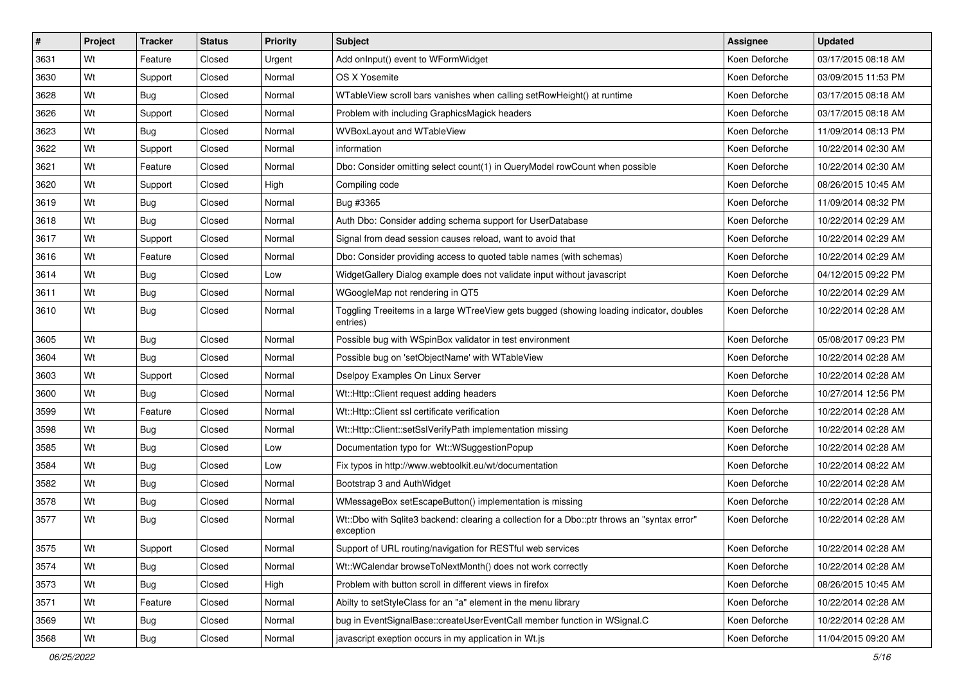| $\vert$ # | Project | <b>Tracker</b> | <b>Status</b> | <b>Priority</b> | Subject                                                                                                  | <b>Assignee</b> | <b>Updated</b>      |
|-----------|---------|----------------|---------------|-----------------|----------------------------------------------------------------------------------------------------------|-----------------|---------------------|
| 3631      | Wt      | Feature        | Closed        | Urgent          | Add onlnput() event to WFormWidget                                                                       | Koen Deforche   | 03/17/2015 08:18 AM |
| 3630      | Wt      | Support        | Closed        | Normal          | OS X Yosemite                                                                                            | Koen Deforche   | 03/09/2015 11:53 PM |
| 3628      | Wt      | Bug            | Closed        | Normal          | WTableView scroll bars vanishes when calling setRowHeight() at runtime                                   | Koen Deforche   | 03/17/2015 08:18 AM |
| 3626      | Wt      | Support        | Closed        | Normal          | Problem with including GraphicsMagick headers                                                            | Koen Deforche   | 03/17/2015 08:18 AM |
| 3623      | Wt      | <b>Bug</b>     | Closed        | Normal          | WVBoxLayout and WTableView                                                                               | Koen Deforche   | 11/09/2014 08:13 PM |
| 3622      | Wt      | Support        | Closed        | Normal          | information                                                                                              | Koen Deforche   | 10/22/2014 02:30 AM |
| 3621      | Wt      | Feature        | Closed        | Normal          | Dbo: Consider omitting select count(1) in QueryModel rowCount when possible                              | Koen Deforche   | 10/22/2014 02:30 AM |
| 3620      | Wt      | Support        | Closed        | High            | Compiling code                                                                                           | Koen Deforche   | 08/26/2015 10:45 AM |
| 3619      | Wt      | <b>Bug</b>     | Closed        | Normal          | Bug #3365                                                                                                | Koen Deforche   | 11/09/2014 08:32 PM |
| 3618      | Wt      | Bug            | Closed        | Normal          | Auth Dbo: Consider adding schema support for UserDatabase                                                | Koen Deforche   | 10/22/2014 02:29 AM |
| 3617      | Wt      | Support        | Closed        | Normal          | Signal from dead session causes reload, want to avoid that                                               | Koen Deforche   | 10/22/2014 02:29 AM |
| 3616      | Wt      | Feature        | Closed        | Normal          | Dbo: Consider providing access to quoted table names (with schemas)                                      | Koen Deforche   | 10/22/2014 02:29 AM |
| 3614      | Wt      | <b>Bug</b>     | Closed        | Low             | WidgetGallery Dialog example does not validate input without javascript                                  | Koen Deforche   | 04/12/2015 09:22 PM |
| 3611      | Wt      | i Bug          | Closed        | Normal          | WGoogleMap not rendering in QT5                                                                          | Koen Deforche   | 10/22/2014 02:29 AM |
| 3610      | Wt      | <b>Bug</b>     | Closed        | Normal          | Toggling Treeitems in a large WTreeView gets bugged (showing loading indicator, doubles<br>entries)      | Koen Deforche   | 10/22/2014 02:28 AM |
| 3605      | Wt      | Bug            | Closed        | Normal          | Possible bug with WSpinBox validator in test environment                                                 | Koen Deforche   | 05/08/2017 09:23 PM |
| 3604      | Wt      | <b>Bug</b>     | Closed        | Normal          | Possible bug on 'setObjectName' with WTableView                                                          | Koen Deforche   | 10/22/2014 02:28 AM |
| 3603      | Wt      | Support        | Closed        | Normal          | Dselpoy Examples On Linux Server                                                                         | Koen Deforche   | 10/22/2014 02:28 AM |
| 3600      | Wt      | Bug            | Closed        | Normal          | Wt::Http::Client request adding headers                                                                  | Koen Deforche   | 10/27/2014 12:56 PM |
| 3599      | Wt      | Feature        | Closed        | Normal          | Wt::Http::Client ssl certificate verification                                                            | Koen Deforche   | 10/22/2014 02:28 AM |
| 3598      | Wt      | i Bug          | Closed        | Normal          | Wt::Http::Client::setSslVerifyPath implementation missing                                                | Koen Deforche   | 10/22/2014 02:28 AM |
| 3585      | Wt      | <b>Bug</b>     | Closed        | Low             | Documentation typo for Wt::WSuggestionPopup                                                              | Koen Deforche   | 10/22/2014 02:28 AM |
| 3584      | Wt      | <b>Bug</b>     | Closed        | Low             | Fix typos in http://www.webtoolkit.eu/wt/documentation                                                   | Koen Deforche   | 10/22/2014 08:22 AM |
| 3582      | Wt      | <b>Bug</b>     | Closed        | Normal          | Bootstrap 3 and AuthWidget                                                                               | Koen Deforche   | 10/22/2014 02:28 AM |
| 3578      | Wt      | <b>Bug</b>     | Closed        | Normal          | WMessageBox setEscapeButton() implementation is missing                                                  | Koen Deforche   | 10/22/2014 02:28 AM |
| 3577      | Wt      | Bug            | Closed        | Normal          | Wt::Dbo with Sqlite3 backend: clearing a collection for a Dbo::ptr throws an "syntax error"<br>exception | Koen Deforche   | 10/22/2014 02:28 AM |
| 3575      | Wt      | Support        | Closed        | Normal          | Support of URL routing/navigation for RESTful web services                                               | Koen Deforche   | 10/22/2014 02:28 AM |
| 3574      | Wt      | Bug            | Closed        | Normal          | Wt::WCalendar browseToNextMonth() does not work correctly                                                | Koen Deforche   | 10/22/2014 02:28 AM |
| 3573      | Wt      | <b>Bug</b>     | Closed        | High            | Problem with button scroll in different views in firefox                                                 | Koen Deforche   | 08/26/2015 10:45 AM |
| 3571      | Wt      | Feature        | Closed        | Normal          | Abilty to setStyleClass for an "a" element in the menu library                                           | Koen Deforche   | 10/22/2014 02:28 AM |
| 3569      | Wt      | <b>Bug</b>     | Closed        | Normal          | bug in EventSignalBase::createUserEventCall member function in WSignal.C                                 | Koen Deforche   | 10/22/2014 02:28 AM |
| 3568      | Wt      | <b>Bug</b>     | Closed        | Normal          | javascript exeption occurs in my application in Wt.js                                                    | Koen Deforche   | 11/04/2015 09:20 AM |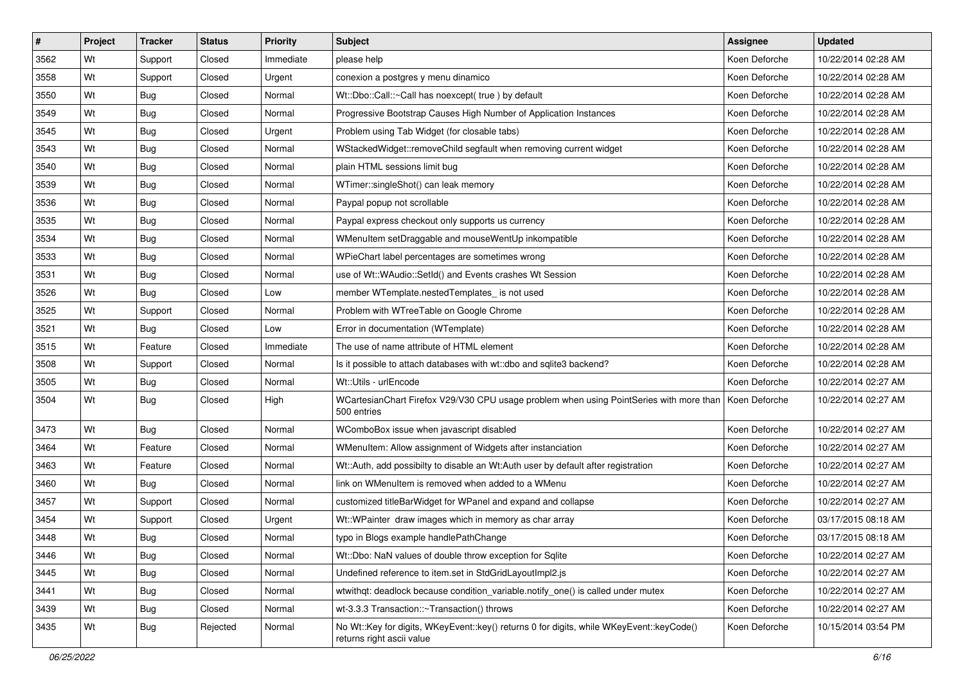| $\sharp$ | Project | <b>Tracker</b> | <b>Status</b> | <b>Priority</b> | <b>Subject</b>                                                                                                        | Assignee      | <b>Updated</b>      |
|----------|---------|----------------|---------------|-----------------|-----------------------------------------------------------------------------------------------------------------------|---------------|---------------------|
| 3562     | Wt      | Support        | Closed        | Immediate       | please help                                                                                                           | Koen Deforche | 10/22/2014 02:28 AM |
| 3558     | Wt      | Support        | Closed        | Urgent          | conexion a postgres y menu dinamico                                                                                   | Koen Deforche | 10/22/2014 02:28 AM |
| 3550     | Wt      | <b>Bug</b>     | Closed        | Normal          | Wt::Dbo::Call::~Call has noexcept( true ) by default                                                                  | Koen Deforche | 10/22/2014 02:28 AM |
| 3549     | Wt      | <b>Bug</b>     | Closed        | Normal          | Progressive Bootstrap Causes High Number of Application Instances                                                     | Koen Deforche | 10/22/2014 02:28 AM |
| 3545     | Wt      | <b>Bug</b>     | Closed        | Urgent          | Problem using Tab Widget (for closable tabs)                                                                          | Koen Deforche | 10/22/2014 02:28 AM |
| 3543     | Wt      | Bug            | Closed        | Normal          | WStackedWidget::removeChild segfault when removing current widget                                                     | Koen Deforche | 10/22/2014 02:28 AM |
| 3540     | Wt      | <b>Bug</b>     | Closed        | Normal          | plain HTML sessions limit bug                                                                                         | Koen Deforche | 10/22/2014 02:28 AM |
| 3539     | Wt      | <b>Bug</b>     | Closed        | Normal          | WTimer::singleShot() can leak memory                                                                                  | Koen Deforche | 10/22/2014 02:28 AM |
| 3536     | Wt      | <b>Bug</b>     | Closed        | Normal          | Paypal popup not scrollable                                                                                           | Koen Deforche | 10/22/2014 02:28 AM |
| 3535     | Wt      | <b>Bug</b>     | Closed        | Normal          | Paypal express checkout only supports us currency                                                                     | Koen Deforche | 10/22/2014 02:28 AM |
| 3534     | Wt      | Bug            | Closed        | Normal          | WMenuItem setDraggable and mouseWentUp inkompatible                                                                   | Koen Deforche | 10/22/2014 02:28 AM |
| 3533     | Wt      | <b>Bug</b>     | Closed        | Normal          | WPieChart label percentages are sometimes wrong                                                                       | Koen Deforche | 10/22/2014 02:28 AM |
| 3531     | Wt      | <b>Bug</b>     | Closed        | Normal          | use of Wt:: WAudio:: SetId() and Events crashes Wt Session                                                            | Koen Deforche | 10/22/2014 02:28 AM |
| 3526     | Wt      | <b>Bug</b>     | Closed        | Low             | member WTemplate.nestedTemplates is not used                                                                          | Koen Deforche | 10/22/2014 02:28 AM |
| 3525     | Wt      | Support        | Closed        | Normal          | Problem with WTreeTable on Google Chrome                                                                              | Koen Deforche | 10/22/2014 02:28 AM |
| 3521     | Wt      | Bug            | Closed        | Low             | Error in documentation (WTemplate)                                                                                    | Koen Deforche | 10/22/2014 02:28 AM |
| 3515     | Wt      | Feature        | Closed        | Immediate       | The use of name attribute of HTML element                                                                             | Koen Deforche | 10/22/2014 02:28 AM |
| 3508     | Wt      | Support        | Closed        | Normal          | Is it possible to attach databases with wt:: dbo and sqlite3 backend?                                                 | Koen Deforche | 10/22/2014 02:28 AM |
| 3505     | Wt      | <b>Bug</b>     | Closed        | Normal          | Wt::Utils - urlEncode                                                                                                 | Koen Deforche | 10/22/2014 02:27 AM |
| 3504     | Wt      | <b>Bug</b>     | Closed        | High            | WCartesianChart Firefox V29/V30 CPU usage problem when using PointSeries with more than<br>500 entries                | Koen Deforche | 10/22/2014 02:27 AM |
| 3473     | Wt      | <b>Bug</b>     | Closed        | Normal          | WComboBox issue when javascript disabled                                                                              | Koen Deforche | 10/22/2014 02:27 AM |
| 3464     | Wt      | Feature        | Closed        | Normal          | WMenuItem: Allow assignment of Widgets after instanciation                                                            | Koen Deforche | 10/22/2014 02:27 AM |
| 3463     | Wt      | Feature        | Closed        | Normal          | Wt::Auth, add possibilty to disable an Wt:Auth user by default after registration                                     | Koen Deforche | 10/22/2014 02:27 AM |
| 3460     | Wt      | <b>Bug</b>     | Closed        | Normal          | link on WMenuItem is removed when added to a WMenu                                                                    | Koen Deforche | 10/22/2014 02:27 AM |
| 3457     | Wt      | Support        | Closed        | Normal          | customized titleBarWidget for WPanel and expand and collapse                                                          | Koen Deforche | 10/22/2014 02:27 AM |
| 3454     | Wt      | Support        | Closed        | Urgent          | Wt::WPainter draw images which in memory as char array                                                                | Koen Deforche | 03/17/2015 08:18 AM |
| 3448     | Wt      | <b>Bug</b>     | Closed        | Normal          | typo in Blogs example handlePathChange                                                                                | Koen Deforche | 03/17/2015 08:18 AM |
| 3446     | Wt      | Bug            | Closed        | Normal          | Wt::Dbo: NaN values of double throw exception for Sqlite                                                              | Koen Deforche | 10/22/2014 02:27 AM |
| 3445     | Wt      | <b>Bug</b>     | Closed        | Normal          | Undefined reference to item.set in StdGridLayoutImpl2.js                                                              | Koen Deforche | 10/22/2014 02:27 AM |
| 3441     | Wt      | Bug            | Closed        | Normal          | wtwithqt: deadlock because condition_variable.notify_one() is called under mutex                                      | Koen Deforche | 10/22/2014 02:27 AM |
| 3439     | Wt      | <b>Bug</b>     | Closed        | Normal          | wt-3.3.3 Transaction::~Transaction() throws                                                                           | Koen Deforche | 10/22/2014 02:27 AM |
| 3435     | Wt      | <b>Bug</b>     | Rejected      | Normal          | No Wt::Key for digits, WKeyEvent::key() returns 0 for digits, while WKeyEvent::keyCode()<br>returns right ascii value | Koen Deforche | 10/15/2014 03:54 PM |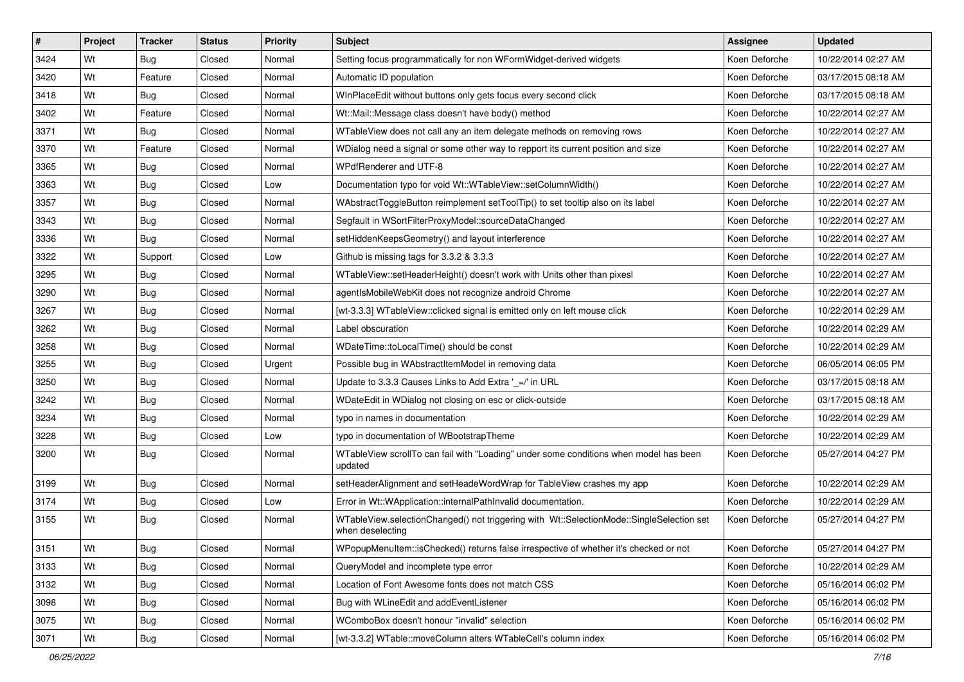| $\vert$ # | Project | <b>Tracker</b> | <b>Status</b> | <b>Priority</b> | Subject                                                                                                      | <b>Assignee</b> | <b>Updated</b>      |
|-----------|---------|----------------|---------------|-----------------|--------------------------------------------------------------------------------------------------------------|-----------------|---------------------|
| 3424      | Wt      | <b>Bug</b>     | Closed        | Normal          | Setting focus programmatically for non WFormWidget-derived widgets                                           | Koen Deforche   | 10/22/2014 02:27 AM |
| 3420      | Wt      | Feature        | Closed        | Normal          | Automatic ID population                                                                                      | Koen Deforche   | 03/17/2015 08:18 AM |
| 3418      | Wt      | Bug            | Closed        | Normal          | WInPlaceEdit without buttons only gets focus every second click                                              | Koen Deforche   | 03/17/2015 08:18 AM |
| 3402      | Wt      | Feature        | Closed        | Normal          | Wt::Mail::Message class doesn't have body() method                                                           | Koen Deforche   | 10/22/2014 02:27 AM |
| 3371      | Wt      | <b>Bug</b>     | Closed        | Normal          | WTableView does not call any an item delegate methods on removing rows                                       | Koen Deforche   | 10/22/2014 02:27 AM |
| 3370      | Wt      | Feature        | Closed        | Normal          | WDialog need a signal or some other way to repport its current position and size                             | Koen Deforche   | 10/22/2014 02:27 AM |
| 3365      | Wt      | <b>Bug</b>     | Closed        | Normal          | <b>WPdfRenderer and UTF-8</b>                                                                                | Koen Deforche   | 10/22/2014 02:27 AM |
| 3363      | Wt      | <b>Bug</b>     | Closed        | Low             | Documentation typo for void Wt::WTableView::setColumnWidth()                                                 | Koen Deforche   | 10/22/2014 02:27 AM |
| 3357      | Wt      | <b>Bug</b>     | Closed        | Normal          | WAbstractToggleButton reimplement setToolTip() to set tooltip also on its label                              | Koen Deforche   | 10/22/2014 02:27 AM |
| 3343      | Wt      | <b>Bug</b>     | Closed        | Normal          | Segfault in WSortFilterProxyModel::sourceDataChanged                                                         | Koen Deforche   | 10/22/2014 02:27 AM |
| 3336      | Wt      | <b>Bug</b>     | Closed        | Normal          | setHiddenKeepsGeometry() and layout interference                                                             | Koen Deforche   | 10/22/2014 02:27 AM |
| 3322      | Wt      | Support        | Closed        | Low             | Github is missing tags for 3.3.2 & 3.3.3                                                                     | Koen Deforche   | 10/22/2014 02:27 AM |
| 3295      | Wt      | <b>Bug</b>     | Closed        | Normal          | WTableView::setHeaderHeight() doesn't work with Units other than pixesl                                      | Koen Deforche   | 10/22/2014 02:27 AM |
| 3290      | Wt      | Bug            | Closed        | Normal          | agentIsMobileWebKit does not recognize android Chrome                                                        | Koen Deforche   | 10/22/2014 02:27 AM |
| 3267      | Wt      | <b>Bug</b>     | Closed        | Normal          | [wt-3.3.3] WTableView::clicked signal is emitted only on left mouse click                                    | Koen Deforche   | 10/22/2014 02:29 AM |
| 3262      | Wt      | Bug            | Closed        | Normal          | Label obscuration                                                                                            | Koen Deforche   | 10/22/2014 02:29 AM |
| 3258      | Wt      | <b>Bug</b>     | Closed        | Normal          | WDateTime::toLocalTime() should be const                                                                     | Koen Deforche   | 10/22/2014 02:29 AM |
| 3255      | Wt      | <b>Bug</b>     | Closed        | Urgent          | Possible bug in WAbstractItemModel in removing data                                                          | Koen Deforche   | 06/05/2014 06:05 PM |
| 3250      | Wt      | <b>Bug</b>     | Closed        | Normal          | Update to 3.3.3 Causes Links to Add Extra '_=/' in URL                                                       | Koen Deforche   | 03/17/2015 08:18 AM |
| 3242      | Wt      | <b>Bug</b>     | Closed        | Normal          | WDateEdit in WDialog not closing on esc or click-outside                                                     | Koen Deforche   | 03/17/2015 08:18 AM |
| 3234      | Wt      | <b>Bug</b>     | Closed        | Normal          | typo in names in documentation                                                                               | Koen Deforche   | 10/22/2014 02:29 AM |
| 3228      | Wt      | <b>Bug</b>     | Closed        | Low             | typo in documentation of WBootstrapTheme                                                                     | Koen Deforche   | 10/22/2014 02:29 AM |
| 3200      | Wt      | <b>Bug</b>     | Closed        | Normal          | WTableView scrollTo can fail with "Loading" under some conditions when model has been<br>updated             | Koen Deforche   | 05/27/2014 04:27 PM |
| 3199      | Wt      | <b>Bug</b>     | Closed        | Normal          | setHeaderAlignment and setHeadeWordWrap for TableView crashes my app                                         | Koen Deforche   | 10/22/2014 02:29 AM |
| 3174      | Wt      | <b>Bug</b>     | Closed        | Low             | Error in Wt::WApplication::internalPathInvalid documentation.                                                | Koen Deforche   | 10/22/2014 02:29 AM |
| 3155      | Wt      | <b>Bug</b>     | Closed        | Normal          | WTableView.selectionChanged() not triggering with Wt::SelectionMode::SingleSelection set<br>when deselecting | Koen Deforche   | 05/27/2014 04:27 PM |
| 3151      | Wt      | Bug            | Closed        | Normal          | WPopupMenuItem::isChecked() returns false irrespective of whether it's checked or not                        | Koen Deforche   | 05/27/2014 04:27 PM |
| 3133      | Wt      | <b>Bug</b>     | Closed        | Normal          | QueryModel and incomplete type error                                                                         | Koen Deforche   | 10/22/2014 02:29 AM |
| 3132      | Wt      | <b>Bug</b>     | Closed        | Normal          | Location of Font Awesome fonts does not match CSS                                                            | Koen Deforche   | 05/16/2014 06:02 PM |
| 3098      | Wt      | <b>Bug</b>     | Closed        | Normal          | Bug with WLineEdit and addEventListener                                                                      | Koen Deforche   | 05/16/2014 06:02 PM |
| 3075      | Wt      | <b>Bug</b>     | Closed        | Normal          | WComboBox doesn't honour "invalid" selection                                                                 | Koen Deforche   | 05/16/2014 06:02 PM |
| 3071      | Wt      | <b>Bug</b>     | Closed        | Normal          | [wt-3.3.2] WTable::moveColumn alters WTableCell's column index                                               | Koen Deforche   | 05/16/2014 06:02 PM |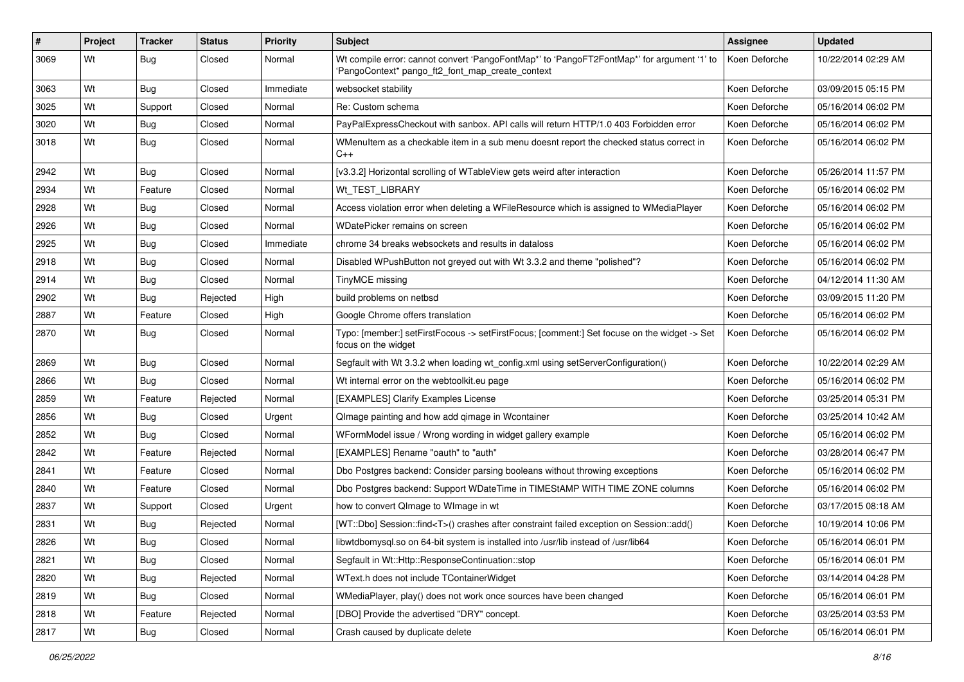| $\vert$ # | Project | <b>Tracker</b> | <b>Status</b> | <b>Priority</b> | Subject                                                                                                                                        | <b>Assignee</b> | <b>Updated</b>      |
|-----------|---------|----------------|---------------|-----------------|------------------------------------------------------------------------------------------------------------------------------------------------|-----------------|---------------------|
| 3069      | Wt      | <b>Bug</b>     | Closed        | Normal          | Wt compile error: cannot convert 'PangoFontMap*' to 'PangoFT2FontMap*' for argument '1' to<br>'PangoContext* pango_ft2_font_map_create_context | Koen Deforche   | 10/22/2014 02:29 AM |
| 3063      | Wt      | <b>Bug</b>     | Closed        | Immediate       | websocket stability                                                                                                                            | Koen Deforche   | 03/09/2015 05:15 PM |
| 3025      | Wt      | Support        | Closed        | Normal          | Re: Custom schema                                                                                                                              | Koen Deforche   | 05/16/2014 06:02 PM |
| 3020      | Wt      | Bug            | Closed        | Normal          | PayPalExpressCheckout with sanbox. API calls will return HTTP/1.0 403 Forbidden error                                                          | Koen Deforche   | 05/16/2014 06:02 PM |
| 3018      | Wt      | <b>Bug</b>     | Closed        | Normal          | WMenuItem as a checkable item in a sub menu doesnt report the checked status correct in<br>$C_{++}$                                            | Koen Deforche   | 05/16/2014 06:02 PM |
| 2942      | Wt      | <b>Bug</b>     | Closed        | Normal          | [v3.3.2] Horizontal scrolling of WTableView gets weird after interaction                                                                       | Koen Deforche   | 05/26/2014 11:57 PM |
| 2934      | Wt      | Feature        | Closed        | Normal          | Wt_TEST_LIBRARY                                                                                                                                | Koen Deforche   | 05/16/2014 06:02 PM |
| 2928      | Wt      | <b>Bug</b>     | Closed        | Normal          | Access violation error when deleting a WFileResource which is assigned to WMediaPlayer                                                         | Koen Deforche   | 05/16/2014 06:02 PM |
| 2926      | Wt      | <b>Bug</b>     | Closed        | Normal          | WDatePicker remains on screen                                                                                                                  | Koen Deforche   | 05/16/2014 06:02 PM |
| 2925      | Wt      | <b>Bug</b>     | Closed        | Immediate       | chrome 34 breaks websockets and results in dataloss                                                                                            | Koen Deforche   | 05/16/2014 06:02 PM |
| 2918      | Wt      | Bug            | Closed        | Normal          | Disabled WPushButton not greyed out with Wt 3.3.2 and theme "polished"?                                                                        | Koen Deforche   | 05/16/2014 06:02 PM |
| 2914      | Wt      | <b>Bug</b>     | Closed        | Normal          | TinyMCE missing                                                                                                                                | Koen Deforche   | 04/12/2014 11:30 AM |
| 2902      | Wt      | Bug            | Rejected      | High            | build problems on netbsd                                                                                                                       | Koen Deforche   | 03/09/2015 11:20 PM |
| 2887      | Wt      | Feature        | Closed        | High            | Google Chrome offers translation                                                                                                               | Koen Deforche   | 05/16/2014 06:02 PM |
| 2870      | Wt      | <b>Bug</b>     | Closed        | Normal          | Typo: [member:] setFirstFocous -> setFirstFocus; [comment:] Set focuse on the widget -> Set<br>focus on the widget                             | Koen Deforche   | 05/16/2014 06:02 PM |
| 2869      | Wt      | <b>Bug</b>     | Closed        | Normal          | Segfault with Wt 3.3.2 when loading wt config.xml using setServerConfiguration()                                                               | Koen Deforche   | 10/22/2014 02:29 AM |
| 2866      | Wt      | Bug            | Closed        | Normal          | Wt internal error on the webtoolkit.eu page                                                                                                    | Koen Deforche   | 05/16/2014 06:02 PM |
| 2859      | Wt      | Feature        | Rejected      | Normal          | [EXAMPLES] Clarify Examples License                                                                                                            | Koen Deforche   | 03/25/2014 05:31 PM |
| 2856      | Wt      | <b>Bug</b>     | Closed        | Urgent          | QImage painting and how add gimage in Wcontainer                                                                                               | Koen Deforche   | 03/25/2014 10:42 AM |
| 2852      | Wt      | <b>Bug</b>     | Closed        | Normal          | WFormModel issue / Wrong wording in widget gallery example                                                                                     | Koen Deforche   | 05/16/2014 06:02 PM |
| 2842      | Wt      | Feature        | Rejected      | Normal          | [EXAMPLES] Rename "oauth" to "auth"                                                                                                            | Koen Deforche   | 03/28/2014 06:47 PM |
| 2841      | Wt      | Feature        | Closed        | Normal          | Dbo Postgres backend: Consider parsing booleans without throwing exceptions                                                                    | Koen Deforche   | 05/16/2014 06:02 PM |
| 2840      | Wt      | Feature        | Closed        | Normal          | Dbo Postgres backend: Support WDateTime in TIMEStAMP WITH TIME ZONE columns                                                                    | Koen Deforche   | 05/16/2014 06:02 PM |
| 2837      | Wt      | Support        | Closed        | Urgent          | how to convert QImage to WImage in wt                                                                                                          | Koen Deforche   | 03/17/2015 08:18 AM |
| 2831      | Wt      | <b>Bug</b>     | Rejected      | Normal          | [WT::Dbo] Session::find <t>() crashes after constraint failed exception on Session::add()</t>                                                  | Koen Deforche   | 10/19/2014 10:06 PM |
| 2826      | Wt      | Bug            | Closed        | Normal          | libwtdbomysql.so on 64-bit system is installed into /usr/lib instead of /usr/lib64                                                             | Koen Deforche   | 05/16/2014 06:01 PM |
| 2821      | Wt      | <b>Bug</b>     | Closed        | Normal          | Segfault in Wt::Http::ResponseContinuation::stop                                                                                               | Koen Deforche   | 05/16/2014 06:01 PM |
| 2820      | Wt      | Bug            | Rejected      | Normal          | WText.h does not include TContainerWidget                                                                                                      | Koen Deforche   | 03/14/2014 04:28 PM |
| 2819      | Wt      | Bug            | Closed        | Normal          | WMediaPlayer, play() does not work once sources have been changed                                                                              | Koen Deforche   | 05/16/2014 06:01 PM |
| 2818      | Wt      | Feature        | Rejected      | Normal          | [DBO] Provide the advertised "DRY" concept.                                                                                                    | Koen Deforche   | 03/25/2014 03:53 PM |
| 2817      | Wt      | Bug            | Closed        | Normal          | Crash caused by duplicate delete                                                                                                               | Koen Deforche   | 05/16/2014 06:01 PM |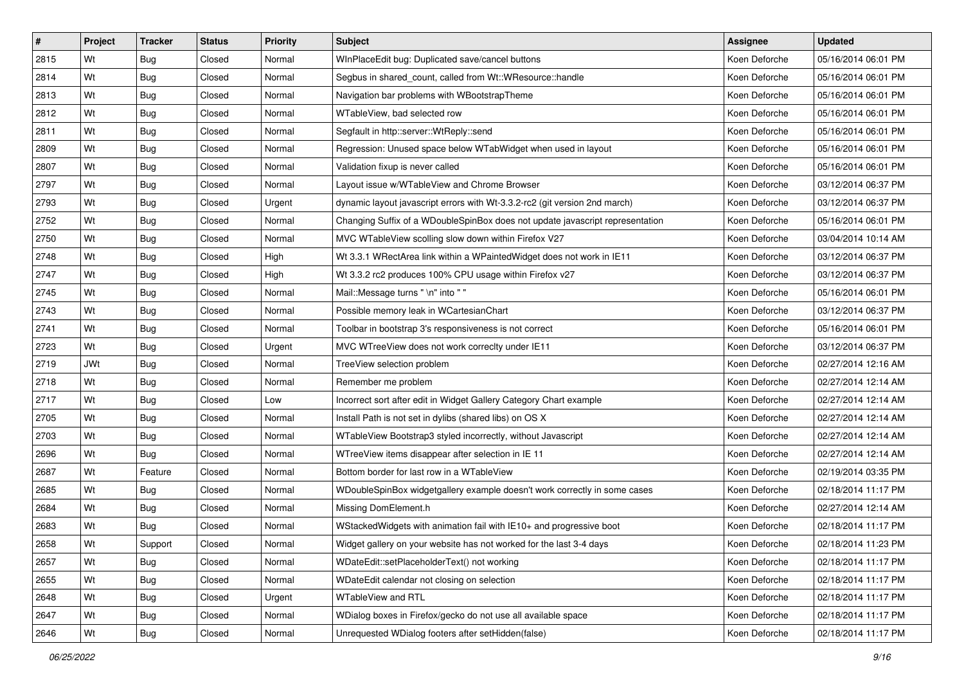| $\vert$ # | Project    | <b>Tracker</b> | <b>Status</b> | <b>Priority</b> | <b>Subject</b>                                                                | <b>Assignee</b> | <b>Updated</b>      |
|-----------|------------|----------------|---------------|-----------------|-------------------------------------------------------------------------------|-----------------|---------------------|
| 2815      | Wt         | Bug            | Closed        | Normal          | WInPlaceEdit bug: Duplicated save/cancel buttons                              | Koen Deforche   | 05/16/2014 06:01 PM |
| 2814      | Wt         | <b>Bug</b>     | Closed        | Normal          | Segbus in shared count, called from Wt::WResource::handle                     | Koen Deforche   | 05/16/2014 06:01 PM |
| 2813      | Wt         | <b>Bug</b>     | Closed        | Normal          | Navigation bar problems with WBootstrapTheme                                  | Koen Deforche   | 05/16/2014 06:01 PM |
| 2812      | Wt         | <b>Bug</b>     | Closed        | Normal          | WTableView, bad selected row                                                  | Koen Deforche   | 05/16/2014 06:01 PM |
| 2811      | Wt         | <b>Bug</b>     | Closed        | Normal          | Segfault in http::server::WtReply::send                                       | Koen Deforche   | 05/16/2014 06:01 PM |
| 2809      | Wt         | <b>Bug</b>     | Closed        | Normal          | Regression: Unused space below WTabWidget when used in layout                 | Koen Deforche   | 05/16/2014 06:01 PM |
| 2807      | Wt         | <b>Bug</b>     | Closed        | Normal          | Validation fixup is never called                                              | Koen Deforche   | 05/16/2014 06:01 PM |
| 2797      | Wt         | <b>Bug</b>     | Closed        | Normal          | Layout issue w/WTableView and Chrome Browser                                  | Koen Deforche   | 03/12/2014 06:37 PM |
| 2793      | Wt         | Bug            | Closed        | Urgent          | dynamic layout javascript errors with Wt-3.3.2-rc2 (git version 2nd march)    | Koen Deforche   | 03/12/2014 06:37 PM |
| 2752      | Wt         | <b>Bug</b>     | Closed        | Normal          | Changing Suffix of a WDoubleSpinBox does not update javascript representation | Koen Deforche   | 05/16/2014 06:01 PM |
| 2750      | Wt         | <b>Bug</b>     | Closed        | Normal          | MVC WTableView scolling slow down within Firefox V27                          | Koen Deforche   | 03/04/2014 10:14 AM |
| 2748      | Wt         | Bug            | Closed        | High            | Wt 3.3.1 WRectArea link within a WPaintedWidget does not work in IE11         | Koen Deforche   | 03/12/2014 06:37 PM |
| 2747      | Wt         | <b>Bug</b>     | Closed        | High            | Wt 3.3.2 rc2 produces 100% CPU usage within Firefox v27                       | Koen Deforche   | 03/12/2014 06:37 PM |
| 2745      | Wt         | <b>Bug</b>     | Closed        | Normal          | Mail:: Message turns " \n" into ""                                            | Koen Deforche   | 05/16/2014 06:01 PM |
| 2743      | Wt         | <b>Bug</b>     | Closed        | Normal          | Possible memory leak in WCartesianChart                                       | Koen Deforche   | 03/12/2014 06:37 PM |
| 2741      | Wt         | <b>Bug</b>     | Closed        | Normal          | Toolbar in bootstrap 3's responsiveness is not correct                        | Koen Deforche   | 05/16/2014 06:01 PM |
| 2723      | Wt         | <b>Bug</b>     | Closed        | Urgent          | MVC WTreeView does not work correcity under IE11                              | Koen Deforche   | 03/12/2014 06:37 PM |
| 2719      | <b>JWt</b> | <b>Bug</b>     | Closed        | Normal          | TreeView selection problem                                                    | Koen Deforche   | 02/27/2014 12:16 AM |
| 2718      | Wt         | <b>Bug</b>     | Closed        | Normal          | Remember me problem                                                           | Koen Deforche   | 02/27/2014 12:14 AM |
| 2717      | Wt         | <b>Bug</b>     | Closed        | Low             | Incorrect sort after edit in Widget Gallery Category Chart example            | Koen Deforche   | 02/27/2014 12:14 AM |
| 2705      | Wt         | <b>Bug</b>     | Closed        | Normal          | Install Path is not set in dylibs (shared libs) on OS X                       | Koen Deforche   | 02/27/2014 12:14 AM |
| 2703      | Wt         | <b>Bug</b>     | Closed        | Normal          | WTableView Bootstrap3 styled incorrectly, without Javascript                  | Koen Deforche   | 02/27/2014 12:14 AM |
| 2696      | Wt         | Bug            | Closed        | Normal          | WTreeView items disappear after selection in IE 11                            | Koen Deforche   | 02/27/2014 12:14 AM |
| 2687      | Wt         | Feature        | Closed        | Normal          | Bottom border for last row in a WTableView                                    | Koen Deforche   | 02/19/2014 03:35 PM |
| 2685      | Wt         | <b>Bug</b>     | Closed        | Normal          | WDoubleSpinBox widgetgallery example doesn't work correctly in some cases     | Koen Deforche   | 02/18/2014 11:17 PM |
| 2684      | Wt         | Bug            | Closed        | Normal          | Missing DomElement.h                                                          | Koen Deforche   | 02/27/2014 12:14 AM |
| 2683      | Wt         | <b>Bug</b>     | Closed        | Normal          | WStackedWidgets with animation fail with IE10+ and progressive boot           | Koen Deforche   | 02/18/2014 11:17 PM |
| 2658      | Wt         | Support        | Closed        | Normal          | Widget gallery on your website has not worked for the last 3-4 days           | Koen Deforche   | 02/18/2014 11:23 PM |
| 2657      | Wt         | Bug            | Closed        | Normal          | WDateEdit::setPlaceholderText() not working                                   | Koen Deforche   | 02/18/2014 11:17 PM |
| 2655      | Wt         | <b>Bug</b>     | Closed        | Normal          | WDateEdit calendar not closing on selection                                   | Koen Deforche   | 02/18/2014 11:17 PM |
| 2648      | Wt         | Bug            | Closed        | Urgent          | <b>WTableView and RTL</b>                                                     | Koen Deforche   | 02/18/2014 11:17 PM |
| 2647      | Wt         | <b>Bug</b>     | Closed        | Normal          | WDialog boxes in Firefox/gecko do not use all available space                 | Koen Deforche   | 02/18/2014 11:17 PM |
| 2646      | Wt         | <b>Bug</b>     | Closed        | Normal          | Unrequested WDialog footers after setHidden(false)                            | Koen Deforche   | 02/18/2014 11:17 PM |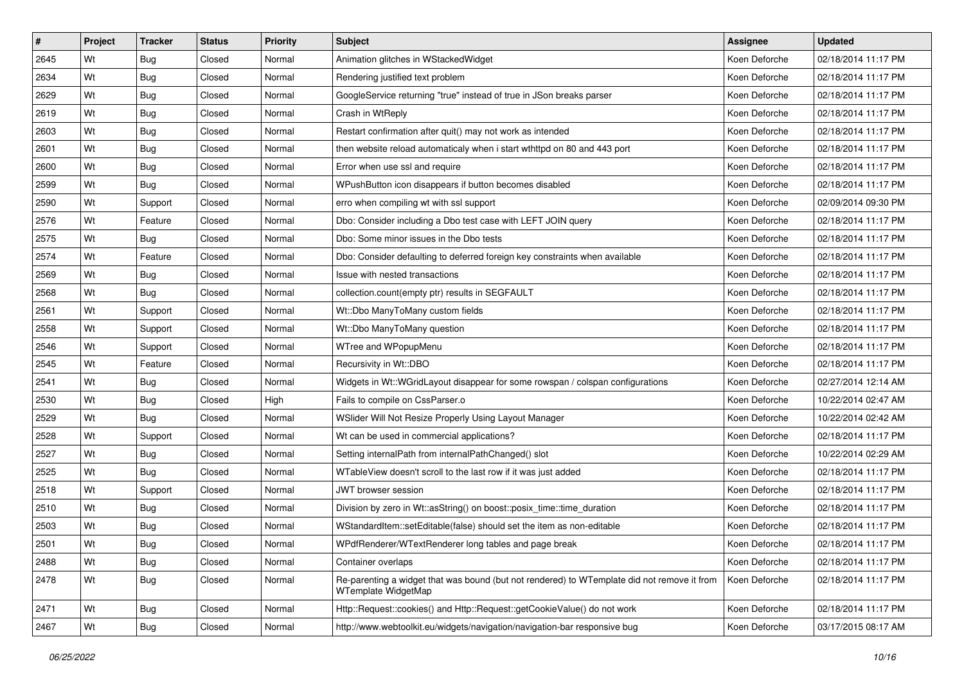| #    | Project | <b>Tracker</b> | <b>Status</b> | Priority | <b>Subject</b>                                                                                                     | Assignee      | <b>Updated</b>      |
|------|---------|----------------|---------------|----------|--------------------------------------------------------------------------------------------------------------------|---------------|---------------------|
| 2645 | Wt      | Bug            | Closed        | Normal   | Animation glitches in WStackedWidget                                                                               | Koen Deforche | 02/18/2014 11:17 PM |
| 2634 | Wt      | <b>Bug</b>     | Closed        | Normal   | Rendering justified text problem                                                                                   | Koen Deforche | 02/18/2014 11:17 PM |
| 2629 | Wt      | <b>Bug</b>     | Closed        | Normal   | GoogleService returning "true" instead of true in JSon breaks parser                                               | Koen Deforche | 02/18/2014 11:17 PM |
| 2619 | Wt      | <b>Bug</b>     | Closed        | Normal   | Crash in WtReply                                                                                                   | Koen Deforche | 02/18/2014 11:17 PM |
| 2603 | Wt      | <b>Bug</b>     | Closed        | Normal   | Restart confirmation after quit() may not work as intended                                                         | Koen Deforche | 02/18/2014 11:17 PM |
| 2601 | Wt      | <b>Bug</b>     | Closed        | Normal   | then website reload automaticaly when i start wthttpd on 80 and 443 port                                           | Koen Deforche | 02/18/2014 11:17 PM |
| 2600 | Wt      | <b>Bug</b>     | Closed        | Normal   | Error when use ssl and require                                                                                     | Koen Deforche | 02/18/2014 11:17 PM |
| 2599 | Wt      | Bug            | Closed        | Normal   | WPushButton icon disappears if button becomes disabled                                                             | Koen Deforche | 02/18/2014 11:17 PM |
| 2590 | Wt      | Support        | Closed        | Normal   | erro when compiling wt with ssl support                                                                            | Koen Deforche | 02/09/2014 09:30 PM |
| 2576 | Wt      | Feature        | Closed        | Normal   | Dbo: Consider including a Dbo test case with LEFT JOIN query                                                       | Koen Deforche | 02/18/2014 11:17 PM |
| 2575 | Wt      | <b>Bug</b>     | Closed        | Normal   | Dbo: Some minor issues in the Dbo tests                                                                            | Koen Deforche | 02/18/2014 11:17 PM |
| 2574 | Wt      | Feature        | Closed        | Normal   | Dbo: Consider defaulting to deferred foreign key constraints when available                                        | Koen Deforche | 02/18/2014 11:17 PM |
| 2569 | Wt      | Bug            | Closed        | Normal   | Issue with nested transactions                                                                                     | Koen Deforche | 02/18/2014 11:17 PM |
| 2568 | Wt      | <b>Bug</b>     | Closed        | Normal   | collection.count(empty ptr) results in SEGFAULT                                                                    | Koen Deforche | 02/18/2014 11:17 PM |
| 2561 | Wt      | Support        | Closed        | Normal   | Wt::Dbo ManyToMany custom fields                                                                                   | Koen Deforche | 02/18/2014 11:17 PM |
| 2558 | Wt      | Support        | Closed        | Normal   | Wt::Dbo ManyToMany question                                                                                        | Koen Deforche | 02/18/2014 11:17 PM |
| 2546 | Wt      | Support        | Closed        | Normal   | WTree and WPopupMenu                                                                                               | Koen Deforche | 02/18/2014 11:17 PM |
| 2545 | Wt      | Feature        | Closed        | Normal   | Recursivity in Wt::DBO                                                                                             | Koen Deforche | 02/18/2014 11:17 PM |
| 2541 | Wt      | Bug            | Closed        | Normal   | Widgets in Wt::WGridLayout disappear for some rowspan / colspan configurations                                     | Koen Deforche | 02/27/2014 12:14 AM |
| 2530 | Wt      | <b>Bug</b>     | Closed        | High     | Fails to compile on CssParser.o                                                                                    | Koen Deforche | 10/22/2014 02:47 AM |
| 2529 | Wt      | Bug            | Closed        | Normal   | WSlider Will Not Resize Properly Using Layout Manager                                                              | Koen Deforche | 10/22/2014 02:42 AM |
| 2528 | Wt      | Support        | Closed        | Normal   | Wt can be used in commercial applications?                                                                         | Koen Deforche | 02/18/2014 11:17 PM |
| 2527 | Wt      | Bug            | Closed        | Normal   | Setting internalPath from internalPathChanged() slot                                                               | Koen Deforche | 10/22/2014 02:29 AM |
| 2525 | Wt      | <b>Bug</b>     | Closed        | Normal   | WTableView doesn't scroll to the last row if it was just added                                                     | Koen Deforche | 02/18/2014 11:17 PM |
| 2518 | Wt      | Support        | Closed        | Normal   | JWT browser session                                                                                                | Koen Deforche | 02/18/2014 11:17 PM |
| 2510 | Wt      | Bug            | Closed        | Normal   | Division by zero in Wt::asString() on boost::posix_time::time_duration                                             | Koen Deforche | 02/18/2014 11:17 PM |
| 2503 | Wt      | <b>Bug</b>     | Closed        | Normal   | WStandardItem::setEditable(false) should set the item as non-editable                                              | Koen Deforche | 02/18/2014 11:17 PM |
| 2501 | Wt      | <b>Bug</b>     | Closed        | Normal   | WPdfRenderer/WTextRenderer long tables and page break                                                              | Koen Deforche | 02/18/2014 11:17 PM |
| 2488 | Wt      | Bug            | Closed        | Normal   | Container overlaps                                                                                                 | Koen Deforche | 02/18/2014 11:17 PM |
| 2478 | Wt      | <b>Bug</b>     | Closed        | Normal   | Re-parenting a widget that was bound (but not rendered) to WTemplate did not remove it from<br>WTemplate WidgetMap | Koen Deforche | 02/18/2014 11:17 PM |
| 2471 | Wt      | <b>Bug</b>     | Closed        | Normal   | Http::Request::cookies() and Http::Request::getCookieValue() do not work                                           | Koen Deforche | 02/18/2014 11:17 PM |
| 2467 | Wt      | <b>Bug</b>     | Closed        | Normal   | http://www.webtoolkit.eu/widgets/navigation/navigation-bar responsive bug                                          | Koen Deforche | 03/17/2015 08:17 AM |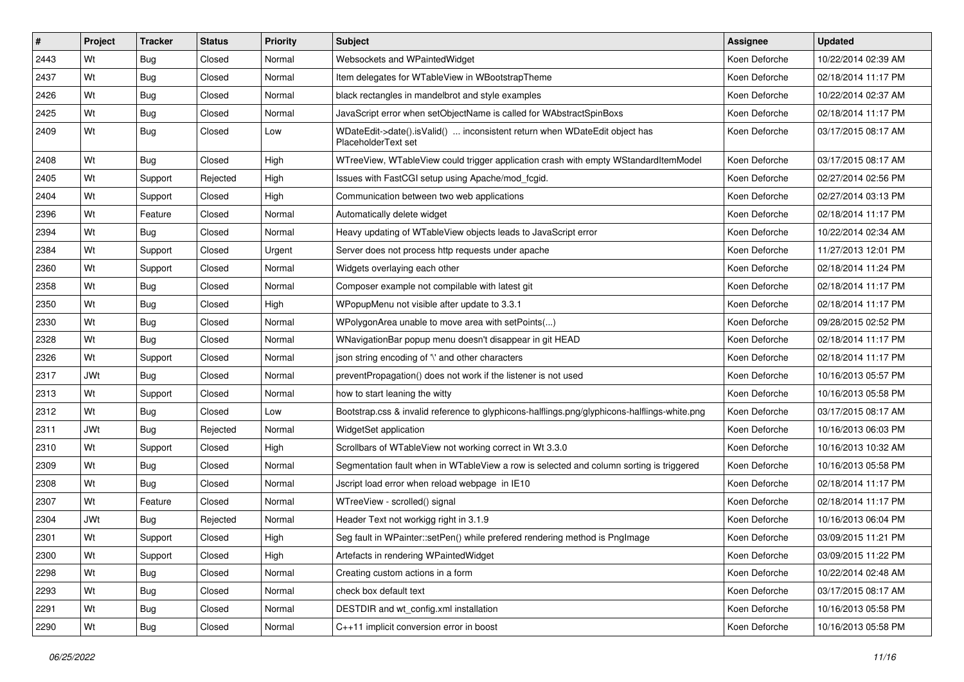| $\vert$ # | Project    | <b>Tracker</b> | <b>Status</b> | <b>Priority</b> | <b>Subject</b>                                                                                    | <b>Assignee</b> | <b>Updated</b>      |
|-----------|------------|----------------|---------------|-----------------|---------------------------------------------------------------------------------------------------|-----------------|---------------------|
| 2443      | Wt         | <b>Bug</b>     | Closed        | Normal          | Websockets and WPaintedWidget                                                                     | Koen Deforche   | 10/22/2014 02:39 AM |
| 2437      | Wt         | <b>Bug</b>     | Closed        | Normal          | Item delegates for WTableView in WBootstrapTheme                                                  | Koen Deforche   | 02/18/2014 11:17 PM |
| 2426      | Wt         | <b>Bug</b>     | Closed        | Normal          | black rectangles in mandelbrot and style examples                                                 | Koen Deforche   | 10/22/2014 02:37 AM |
| 2425      | Wt         | <b>Bug</b>     | Closed        | Normal          | JavaScript error when setObjectName is called for WAbstractSpinBoxs                               | Koen Deforche   | 02/18/2014 11:17 PM |
| 2409      | Wt         | <b>Bug</b>     | Closed        | Low             | WDateEdit->date().isValid()  inconsistent return when WDateEdit object has<br>PlaceholderText set | Koen Deforche   | 03/17/2015 08:17 AM |
| 2408      | Wt         | <b>Bug</b>     | Closed        | High            | WTreeView, WTableView could trigger application crash with empty WStandardItemModel               | Koen Deforche   | 03/17/2015 08:17 AM |
| 2405      | Wt         | Support        | Rejected      | High            | Issues with FastCGI setup using Apache/mod fcgid.                                                 | Koen Deforche   | 02/27/2014 02:56 PM |
| 2404      | Wt         | Support        | Closed        | High            | Communication between two web applications                                                        | Koen Deforche   | 02/27/2014 03:13 PM |
| 2396      | Wt         | Feature        | Closed        | Normal          | Automatically delete widget                                                                       | Koen Deforche   | 02/18/2014 11:17 PM |
| 2394      | Wt         | Bug            | Closed        | Normal          | Heavy updating of WTableView objects leads to JavaScript error                                    | Koen Deforche   | 10/22/2014 02:34 AM |
| 2384      | Wt         | Support        | Closed        | Urgent          | Server does not process http requests under apache                                                | Koen Deforche   | 11/27/2013 12:01 PM |
| 2360      | Wt         | Support        | Closed        | Normal          | Widgets overlaying each other                                                                     | Koen Deforche   | 02/18/2014 11:24 PM |
| 2358      | Wt         | <b>Bug</b>     | Closed        | Normal          | Composer example not compilable with latest git                                                   | Koen Deforche   | 02/18/2014 11:17 PM |
| 2350      | Wt         | <b>Bug</b>     | Closed        | High            | WPopupMenu not visible after update to 3.3.1                                                      | Koen Deforche   | 02/18/2014 11:17 PM |
| 2330      | Wt         | <b>Bug</b>     | Closed        | Normal          | WPolygonArea unable to move area with setPoints()                                                 | Koen Deforche   | 09/28/2015 02:52 PM |
| 2328      | Wt         | <b>Bug</b>     | Closed        | Normal          | WNavigationBar popup menu doesn't disappear in git HEAD                                           | Koen Deforche   | 02/18/2014 11:17 PM |
| 2326      | Wt         | Support        | Closed        | Normal          | json string encoding of '\' and other characters                                                  | Koen Deforche   | 02/18/2014 11:17 PM |
| 2317      | <b>JWt</b> | Bug            | Closed        | Normal          | preventPropagation() does not work if the listener is not used                                    | Koen Deforche   | 10/16/2013 05:57 PM |
| 2313      | Wt         | Support        | Closed        | Normal          | how to start leaning the witty                                                                    | Koen Deforche   | 10/16/2013 05:58 PM |
| 2312      | Wt         | <b>Bug</b>     | Closed        | Low             | Bootstrap.css & invalid reference to glyphicons-halflings.png/glyphicons-halflings-white.png      | Koen Deforche   | 03/17/2015 08:17 AM |
| 2311      | <b>JWt</b> | <b>Bug</b>     | Rejected      | Normal          | WidgetSet application                                                                             | Koen Deforche   | 10/16/2013 06:03 PM |
| 2310      | Wt         | Support        | Closed        | High            | Scrollbars of WTableView not working correct in Wt 3.3.0                                          | Koen Deforche   | 10/16/2013 10:32 AM |
| 2309      | Wt         | <b>Bug</b>     | Closed        | Normal          | Segmentation fault when in WTableView a row is selected and column sorting is triggered           | Koen Deforche   | 10/16/2013 05:58 PM |
| 2308      | Wt         | <b>Bug</b>     | Closed        | Normal          | Jscript load error when reload webpage in IE10                                                    | Koen Deforche   | 02/18/2014 11:17 PM |
| 2307      | Wt         | Feature        | Closed        | Normal          | WTreeView - scrolled() signal                                                                     | Koen Deforche   | 02/18/2014 11:17 PM |
| 2304      | <b>JWt</b> | Bug            | Rejected      | Normal          | Header Text not workigg right in 3.1.9                                                            | Koen Deforche   | 10/16/2013 06:04 PM |
| 2301      | Wt         | Support        | Closed        | High            | Seg fault in WPainter::setPen() while prefered rendering method is PngImage                       | Koen Deforche   | 03/09/2015 11:21 PM |
| 2300      | Wt         | Support        | Closed        | High            | Artefacts in rendering WPaintedWidget                                                             | Koen Deforche   | 03/09/2015 11:22 PM |
| 2298      | Wt         | <b>Bug</b>     | Closed        | Normal          | Creating custom actions in a form                                                                 | Koen Deforche   | 10/22/2014 02:48 AM |
| 2293      | Wt         | <b>Bug</b>     | Closed        | Normal          | check box default text                                                                            | Koen Deforche   | 03/17/2015 08:17 AM |
| 2291      | Wt         | <b>Bug</b>     | Closed        | Normal          | DESTDIR and wt_config.xml installation                                                            | Koen Deforche   | 10/16/2013 05:58 PM |
| 2290      | Wt         | <b>Bug</b>     | Closed        | Normal          | C++11 implicit conversion error in boost                                                          | Koen Deforche   | 10/16/2013 05:58 PM |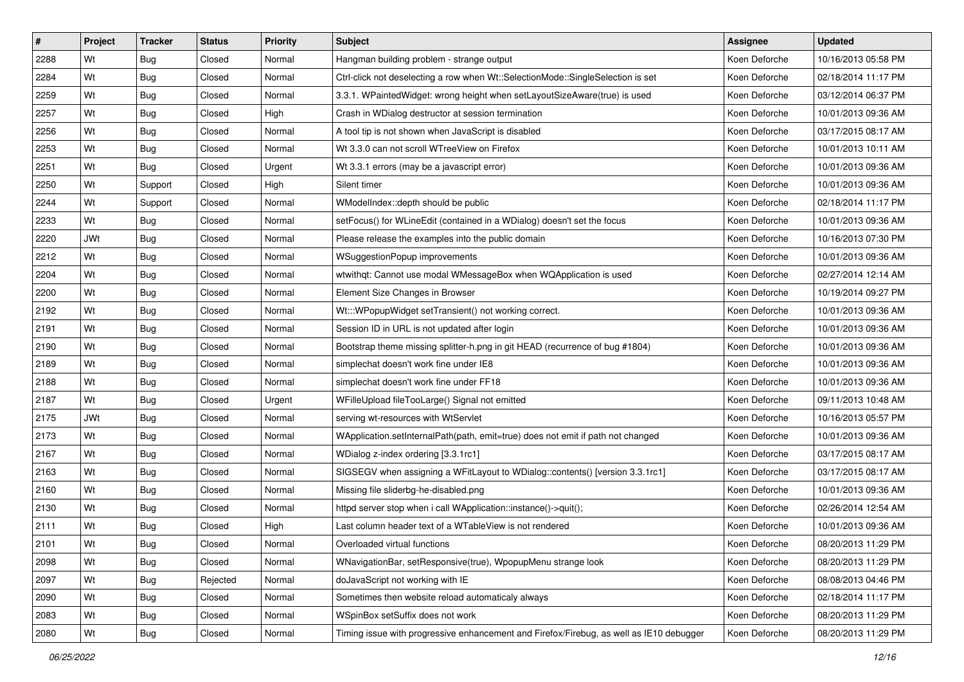| $\vert$ # | Project    | <b>Tracker</b> | <b>Status</b> | <b>Priority</b> | Subject                                                                                 | <b>Assignee</b> | <b>Updated</b>      |
|-----------|------------|----------------|---------------|-----------------|-----------------------------------------------------------------------------------------|-----------------|---------------------|
| 2288      | Wt         | <b>Bug</b>     | Closed        | Normal          | Hangman building problem - strange output                                               | Koen Deforche   | 10/16/2013 05:58 PM |
| 2284      | Wt         | <b>Bug</b>     | Closed        | Normal          | Ctrl-click not deselecting a row when Wt::SelectionMode::SingleSelection is set         | Koen Deforche   | 02/18/2014 11:17 PM |
| 2259      | Wt         | <b>Bug</b>     | Closed        | Normal          | 3.3.1. WPaintedWidget: wrong height when setLayoutSizeAware(true) is used               | Koen Deforche   | 03/12/2014 06:37 PM |
| 2257      | Wt         | <b>Bug</b>     | Closed        | High            | Crash in WDialog destructor at session termination                                      | Koen Deforche   | 10/01/2013 09:36 AM |
| 2256      | Wt         | <b>Bug</b>     | Closed        | Normal          | A tool tip is not shown when JavaScript is disabled                                     | Koen Deforche   | 03/17/2015 08:17 AM |
| 2253      | Wt         | <b>Bug</b>     | Closed        | Normal          | Wt 3.3.0 can not scroll WTreeView on Firefox                                            | Koen Deforche   | 10/01/2013 10:11 AM |
| 2251      | Wt         | <b>Bug</b>     | Closed        | Urgent          | Wt 3.3.1 errors (may be a javascript error)                                             | Koen Deforche   | 10/01/2013 09:36 AM |
| 2250      | Wt         | Support        | Closed        | High            | Silent timer                                                                            | Koen Deforche   | 10/01/2013 09:36 AM |
| 2244      | Wt         | Support        | Closed        | Normal          | WModelIndex:: depth should be public                                                    | Koen Deforche   | 02/18/2014 11:17 PM |
| 2233      | Wt         | Bug            | Closed        | Normal          | setFocus() for WLineEdit (contained in a WDialog) doesn't set the focus                 | Koen Deforche   | 10/01/2013 09:36 AM |
| 2220      | <b>JWt</b> | <b>Bug</b>     | Closed        | Normal          | Please release the examples into the public domain                                      | Koen Deforche   | 10/16/2013 07:30 PM |
| 2212      | Wt         | Bug            | Closed        | Normal          | WSuggestionPopup improvements                                                           | Koen Deforche   | 10/01/2013 09:36 AM |
| 2204      | Wt         | <b>Bug</b>     | Closed        | Normal          | wtwithqt: Cannot use modal WMessageBox when WQApplication is used                       | Koen Deforche   | 02/27/2014 12:14 AM |
| 2200      | Wt         | <b>Bug</b>     | Closed        | Normal          | Element Size Changes in Browser                                                         | Koen Deforche   | 10/19/2014 09:27 PM |
| 2192      | Wt         | <b>Bug</b>     | Closed        | Normal          | Wt:::WPopupWidget setTransient() not working correct.                                   | Koen Deforche   | 10/01/2013 09:36 AM |
| 2191      | Wt         | <b>Bug</b>     | Closed        | Normal          | Session ID in URL is not updated after login                                            | Koen Deforche   | 10/01/2013 09:36 AM |
| 2190      | Wt         | <b>Bug</b>     | Closed        | Normal          | Bootstrap theme missing splitter-h.png in git HEAD (recurrence of bug #1804)            | Koen Deforche   | 10/01/2013 09:36 AM |
| 2189      | Wt         | <b>Bug</b>     | Closed        | Normal          | simplechat doesn't work fine under IE8                                                  | Koen Deforche   | 10/01/2013 09:36 AM |
| 2188      | Wt         | <b>Bug</b>     | Closed        | Normal          | simplechat doesn't work fine under FF18                                                 | Koen Deforche   | 10/01/2013 09:36 AM |
| 2187      | Wt         | <b>Bug</b>     | Closed        | Urgent          | WFilleUpload fileTooLarge() Signal not emitted                                          | Koen Deforche   | 09/11/2013 10:48 AM |
| 2175      | <b>JWt</b> | <b>Bug</b>     | Closed        | Normal          | serving wt-resources with WtServlet                                                     | Koen Deforche   | 10/16/2013 05:57 PM |
| 2173      | Wt         | <b>Bug</b>     | Closed        | Normal          | WApplication.setInternalPath(path, emit=true) does not emit if path not changed         | Koen Deforche   | 10/01/2013 09:36 AM |
| 2167      | Wt         | Bug            | Closed        | Normal          | WDialog z-index ordering [3.3.1rc1]                                                     | Koen Deforche   | 03/17/2015 08:17 AM |
| 2163      | Wt         | <b>Bug</b>     | Closed        | Normal          | SIGSEGV when assigning a WFitLayout to WDialog::contents() [version 3.3.1rc1]           | Koen Deforche   | 03/17/2015 08:17 AM |
| 2160      | Wt         | Bug            | Closed        | Normal          | Missing file sliderbg-he-disabled.png                                                   | Koen Deforche   | 10/01/2013 09:36 AM |
| 2130      | Wt         | <b>Bug</b>     | Closed        | Normal          | httpd server stop when i call WApplication::instance()->quit();                         | Koen Deforche   | 02/26/2014 12:54 AM |
| 2111      | Wt         | <b>Bug</b>     | Closed        | High            | Last column header text of a WTableView is not rendered                                 | Koen Deforche   | 10/01/2013 09:36 AM |
| 2101      | Wt         | <b>Bug</b>     | Closed        | Normal          | Overloaded virtual functions                                                            | Koen Deforche   | 08/20/2013 11:29 PM |
| 2098      | Wt         | Bug            | Closed        | Normal          | WNavigationBar, setResponsive(true), WpopupMenu strange look                            | Koen Deforche   | 08/20/2013 11:29 PM |
| 2097      | Wt         | Bug            | Rejected      | Normal          | doJavaScript not working with IE                                                        | Koen Deforche   | 08/08/2013 04:46 PM |
| 2090      | Wt         | <b>Bug</b>     | Closed        | Normal          | Sometimes then website reload automaticaly always                                       | Koen Deforche   | 02/18/2014 11:17 PM |
| 2083      | Wt         | <b>Bug</b>     | Closed        | Normal          | WSpinBox setSuffix does not work                                                        | Koen Deforche   | 08/20/2013 11:29 PM |
| 2080      | Wt         | <b>Bug</b>     | Closed        | Normal          | Timing issue with progressive enhancement and Firefox/Firebug, as well as IE10 debugger | Koen Deforche   | 08/20/2013 11:29 PM |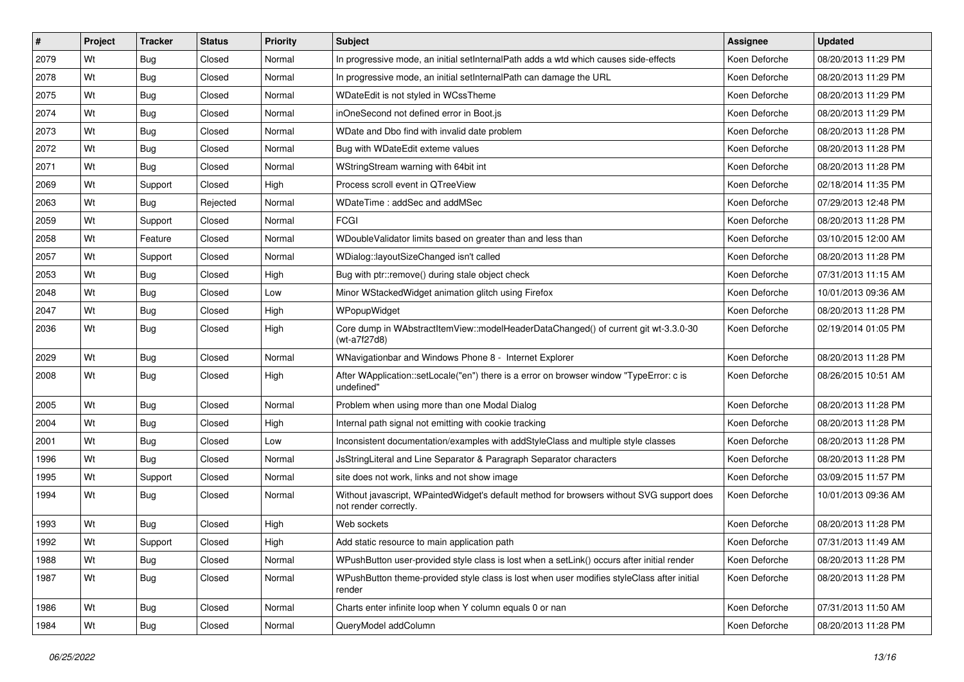| #    | Project | <b>Tracker</b> | <b>Status</b> | Priority | Subject                                                                                                            | <b>Assignee</b> | <b>Updated</b>      |
|------|---------|----------------|---------------|----------|--------------------------------------------------------------------------------------------------------------------|-----------------|---------------------|
| 2079 | Wt      | Bug            | Closed        | Normal   | In progressive mode, an initial setInternalPath adds a wtd which causes side-effects                               | Koen Deforche   | 08/20/2013 11:29 PM |
| 2078 | Wt      | <b>Bug</b>     | Closed        | Normal   | In progressive mode, an initial setInternalPath can damage the URL                                                 | Koen Deforche   | 08/20/2013 11:29 PM |
| 2075 | Wt      | <b>Bug</b>     | Closed        | Normal   | WDateEdit is not styled in WCssTheme                                                                               | Koen Deforche   | 08/20/2013 11:29 PM |
| 2074 | Wt      | <b>Bug</b>     | Closed        | Normal   | inOneSecond not defined error in Boot.js                                                                           | Koen Deforche   | 08/20/2013 11:29 PM |
| 2073 | Wt      | <b>Bug</b>     | Closed        | Normal   | WDate and Dbo find with invalid date problem                                                                       | Koen Deforche   | 08/20/2013 11:28 PM |
| 2072 | Wt      | Bug            | Closed        | Normal   | Bug with WDateEdit exteme values                                                                                   | Koen Deforche   | 08/20/2013 11:28 PM |
| 2071 | Wt      | <b>Bug</b>     | Closed        | Normal   | WStringStream warning with 64bit int                                                                               | Koen Deforche   | 08/20/2013 11:28 PM |
| 2069 | Wt      | Support        | Closed        | High     | Process scroll event in QTreeView                                                                                  | Koen Deforche   | 02/18/2014 11:35 PM |
| 2063 | Wt      | <b>Bug</b>     | Rejected      | Normal   | WDateTime: addSec and addMSec                                                                                      | Koen Deforche   | 07/29/2013 12:48 PM |
| 2059 | Wt      | Support        | Closed        | Normal   | <b>FCGI</b>                                                                                                        | Koen Deforche   | 08/20/2013 11:28 PM |
| 2058 | Wt      | Feature        | Closed        | Normal   | WDoubleValidator limits based on greater than and less than                                                        | Koen Deforche   | 03/10/2015 12:00 AM |
| 2057 | Wt      | Support        | Closed        | Normal   | WDialog::layoutSizeChanged isn't called                                                                            | Koen Deforche   | 08/20/2013 11:28 PM |
| 2053 | Wt      | <b>Bug</b>     | Closed        | High     | Bug with ptr::remove() during stale object check                                                                   | Koen Deforche   | 07/31/2013 11:15 AM |
| 2048 | Wt      | <b>Bug</b>     | Closed        | Low      | Minor WStackedWidget animation glitch using Firefox                                                                | Koen Deforche   | 10/01/2013 09:36 AM |
| 2047 | Wt      | <b>Bug</b>     | Closed        | High     | WPopupWidget                                                                                                       | Koen Deforche   | 08/20/2013 11:28 PM |
| 2036 | Wt      | Bug            | Closed        | High     | Core dump in WAbstractItemView::modelHeaderDataChanged() of current git wt-3.3.0-30<br>(wt-a7f27d8)                | Koen Deforche   | 02/19/2014 01:05 PM |
| 2029 | Wt      | <b>Bug</b>     | Closed        | Normal   | WNavigationbar and Windows Phone 8 - Internet Explorer                                                             | Koen Deforche   | 08/20/2013 11:28 PM |
| 2008 | Wt      | <b>Bug</b>     | Closed        | High     | After WApplication::setLocale("en") there is a error on browser window "TypeError: c is<br>undefined"              | Koen Deforche   | 08/26/2015 10:51 AM |
| 2005 | Wt      | <b>Bug</b>     | Closed        | Normal   | Problem when using more than one Modal Dialog                                                                      | Koen Deforche   | 08/20/2013 11:28 PM |
| 2004 | Wt      | <b>Bug</b>     | Closed        | High     | Internal path signal not emitting with cookie tracking                                                             | Koen Deforche   | 08/20/2013 11:28 PM |
| 2001 | Wt      | <b>Bug</b>     | Closed        | Low      | Inconsistent documentation/examples with addStyleClass and multiple style classes                                  | Koen Deforche   | 08/20/2013 11:28 PM |
| 1996 | Wt      | Bug            | Closed        | Normal   | JsStringLiteral and Line Separator & Paragraph Separator characters                                                | Koen Deforche   | 08/20/2013 11:28 PM |
| 1995 | Wt      | Support        | Closed        | Normal   | site does not work, links and not show image                                                                       | Koen Deforche   | 03/09/2015 11:57 PM |
| 1994 | Wt      | <b>Bug</b>     | Closed        | Normal   | Without javascript, WPaintedWidget's default method for browsers without SVG support does<br>not render correctly. | Koen Deforche   | 10/01/2013 09:36 AM |
| 1993 | Wt      | <b>Bug</b>     | Closed        | High     | Web sockets                                                                                                        | Koen Deforche   | 08/20/2013 11:28 PM |
| 1992 | Wt      | Support        | Closed        | High     | Add static resource to main application path                                                                       | Koen Deforche   | 07/31/2013 11:49 AM |
| 1988 | Wt      | Bug            | Closed        | Normal   | WPushButton user-provided style class is lost when a setLink() occurs after initial render                         | Koen Deforche   | 08/20/2013 11:28 PM |
| 1987 | Wt      | <b>Bug</b>     | Closed        | Normal   | WPushButton theme-provided style class is lost when user modifies styleClass after initial<br>render               | Koen Deforche   | 08/20/2013 11:28 PM |
| 1986 | Wt      | <b>Bug</b>     | Closed        | Normal   | Charts enter infinite loop when Y column equals 0 or nan                                                           | Koen Deforche   | 07/31/2013 11:50 AM |
| 1984 | Wt      | <b>Bug</b>     | Closed        | Normal   | QueryModel addColumn                                                                                               | Koen Deforche   | 08/20/2013 11:28 PM |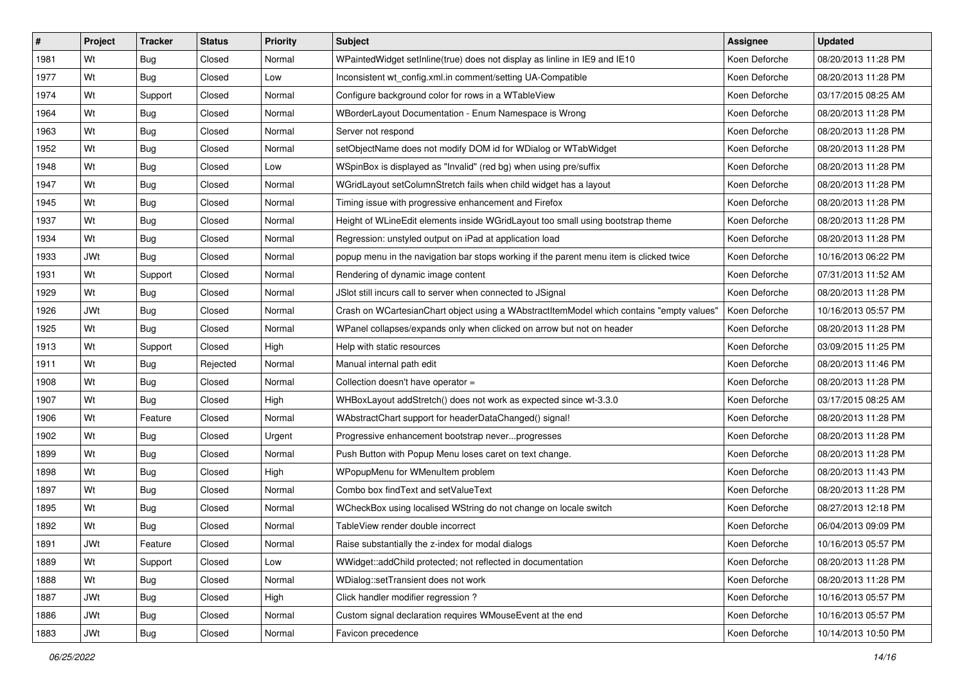| $\pmb{\#}$ | Project    | Tracker    | <b>Status</b> | <b>Priority</b> | <b>Subject</b>                                                                           | <b>Assignee</b> | <b>Updated</b>      |
|------------|------------|------------|---------------|-----------------|------------------------------------------------------------------------------------------|-----------------|---------------------|
| 1981       | Wt         | <b>Bug</b> | Closed        | Normal          | WPaintedWidget setInline(true) does not display as linline in IE9 and IE10               | Koen Deforche   | 08/20/2013 11:28 PM |
| 1977       | Wt         | <b>Bug</b> | Closed        | Low             | Inconsistent wt_config.xml.in comment/setting UA-Compatible                              | Koen Deforche   | 08/20/2013 11:28 PM |
| 1974       | Wt         | Support    | Closed        | Normal          | Configure background color for rows in a WTableView                                      | Koen Deforche   | 03/17/2015 08:25 AM |
| 1964       | Wt         | <b>Bug</b> | Closed        | Normal          | WBorderLayout Documentation - Enum Namespace is Wrong                                    | Koen Deforche   | 08/20/2013 11:28 PM |
| 1963       | Wt         | Bug        | Closed        | Normal          | Server not respond                                                                       | Koen Deforche   | 08/20/2013 11:28 PM |
| 1952       | Wt         | <b>Bug</b> | Closed        | Normal          | setObjectName does not modify DOM id for WDialog or WTabWidget                           | Koen Deforche   | 08/20/2013 11:28 PM |
| 1948       | Wt         | <b>Bug</b> | Closed        | Low             | WSpinBox is displayed as "Invalid" (red bg) when using pre/suffix                        | Koen Deforche   | 08/20/2013 11:28 PM |
| 1947       | Wt         | <b>Bug</b> | Closed        | Normal          | WGridLayout setColumnStretch fails when child widget has a layout                        | Koen Deforche   | 08/20/2013 11:28 PM |
| 1945       | Wt         | <b>Bug</b> | Closed        | Normal          | Timing issue with progressive enhancement and Firefox                                    | Koen Deforche   | 08/20/2013 11:28 PM |
| 1937       | Wt         | <b>Bug</b> | Closed        | Normal          | Height of WLineEdit elements inside WGridLayout too small using bootstrap theme          | Koen Deforche   | 08/20/2013 11:28 PM |
| 1934       | Wt         | Bug        | Closed        | Normal          | Regression: unstyled output on iPad at application load                                  | Koen Deforche   | 08/20/2013 11:28 PM |
| 1933       | <b>JWt</b> | <b>Bug</b> | Closed        | Normal          | popup menu in the navigation bar stops working if the parent menu item is clicked twice  | Koen Deforche   | 10/16/2013 06:22 PM |
| 1931       | Wt         | Support    | Closed        | Normal          | Rendering of dynamic image content                                                       | Koen Deforche   | 07/31/2013 11:52 AM |
| 1929       | Wt         | Bug        | Closed        | Normal          | JSlot still incurs call to server when connected to JSignal                              | Koen Deforche   | 08/20/2013 11:28 PM |
| 1926       | <b>JWt</b> | <b>Bug</b> | Closed        | Normal          | Crash on WCartesianChart object using a WAbstractItemModel which contains "empty values" | Koen Deforche   | 10/16/2013 05:57 PM |
| 1925       | Wt         | Bug        | Closed        | Normal          | WPanel collapses/expands only when clicked on arrow but not on header                    | Koen Deforche   | 08/20/2013 11:28 PM |
| 1913       | Wt         | Support    | Closed        | High            | Help with static resources                                                               | Koen Deforche   | 03/09/2015 11:25 PM |
| 1911       | Wt         | <b>Bug</b> | Rejected      | Normal          | Manual internal path edit                                                                | Koen Deforche   | 08/20/2013 11:46 PM |
| 1908       | Wt         | <b>Bug</b> | Closed        | Normal          | Collection doesn't have operator =                                                       | Koen Deforche   | 08/20/2013 11:28 PM |
| 1907       | Wt         | <b>Bug</b> | Closed        | High            | WHBoxLayout addStretch() does not work as expected since wt-3.3.0                        | Koen Deforche   | 03/17/2015 08:25 AM |
| 1906       | Wt         | Feature    | Closed        | Normal          | WAbstractChart support for headerDataChanged() signal!                                   | Koen Deforche   | 08/20/2013 11:28 PM |
| 1902       | Wt         | <b>Bug</b> | Closed        | Urgent          | Progressive enhancement bootstrap neverprogresses                                        | Koen Deforche   | 08/20/2013 11:28 PM |
| 1899       | Wt         | <b>Bug</b> | Closed        | Normal          | Push Button with Popup Menu loses caret on text change.                                  | Koen Deforche   | 08/20/2013 11:28 PM |
| 1898       | Wt         | <b>Bug</b> | Closed        | High            | WPopupMenu for WMenuItem problem                                                         | Koen Deforche   | 08/20/2013 11:43 PM |
| 1897       | Wt         | <b>Bug</b> | Closed        | Normal          | Combo box find Text and set Value Text                                                   | Koen Deforche   | 08/20/2013 11:28 PM |
| 1895       | Wt         | <b>Bug</b> | Closed        | Normal          | WCheckBox using localised WString do not change on locale switch                         | Koen Deforche   | 08/27/2013 12:18 PM |
| 1892       | Wt         | Bug        | Closed        | Normal          | TableView render double incorrect                                                        | Koen Deforche   | 06/04/2013 09:09 PM |
| 1891       | <b>JWt</b> | Feature    | Closed        | Normal          | Raise substantially the z-index for modal dialogs                                        | Koen Deforche   | 10/16/2013 05:57 PM |
| 1889       | Wt         | Support    | Closed        | Low             | WWidget::addChild protected; not reflected in documentation                              | Koen Deforche   | 08/20/2013 11:28 PM |
| 1888       | Wt         | <b>Bug</b> | Closed        | Normal          | WDialog::setTransient does not work                                                      | Koen Deforche   | 08/20/2013 11:28 PM |
| 1887       | <b>JWt</b> | <b>Bug</b> | Closed        | High            | Click handler modifier regression?                                                       | Koen Deforche   | 10/16/2013 05:57 PM |
| 1886       | JWt        | <b>Bug</b> | Closed        | Normal          | Custom signal declaration requires WMouseEvent at the end                                | Koen Deforche   | 10/16/2013 05:57 PM |
| 1883       | JWt        | <b>Bug</b> | Closed        | Normal          | Favicon precedence                                                                       | Koen Deforche   | 10/14/2013 10:50 PM |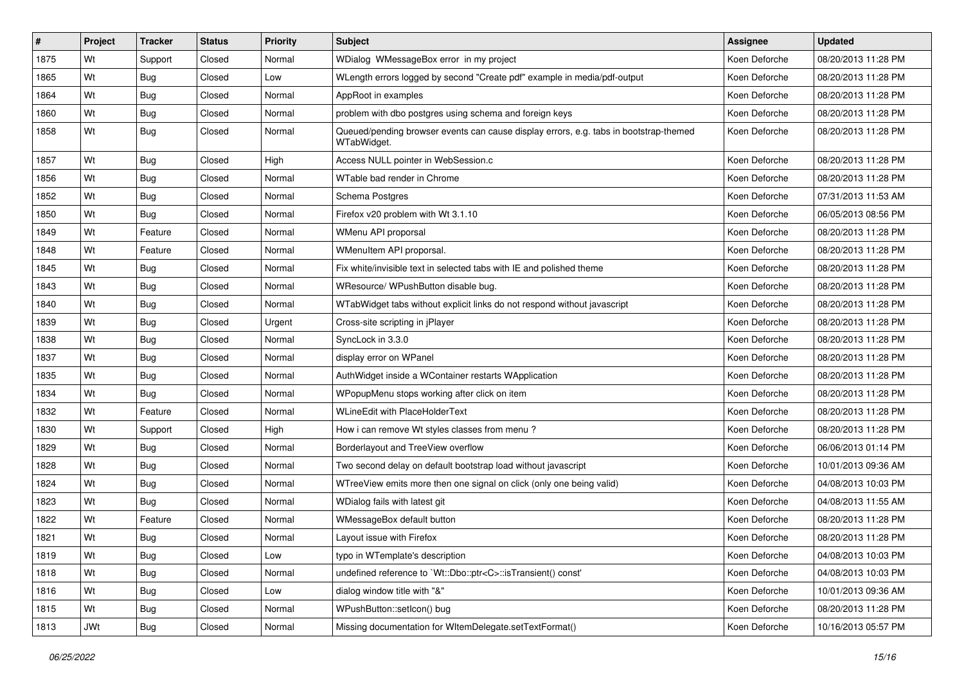| $\vert$ # | Project    | <b>Tracker</b> | <b>Status</b> | <b>Priority</b> | <b>Subject</b>                                                                                       | Assignee      | <b>Updated</b>      |
|-----------|------------|----------------|---------------|-----------------|------------------------------------------------------------------------------------------------------|---------------|---------------------|
| 1875      | Wt         | Support        | Closed        | Normal          | WDialog WMessageBox error in my project                                                              | Koen Deforche | 08/20/2013 11:28 PM |
| 1865      | Wt         | <b>Bug</b>     | Closed        | Low             | WLength errors logged by second "Create pdf" example in media/pdf-output                             | Koen Deforche | 08/20/2013 11:28 PM |
| 1864      | Wt         | Bug            | Closed        | Normal          | AppRoot in examples                                                                                  | Koen Deforche | 08/20/2013 11:28 PM |
| 1860      | Wt         | <b>Bug</b>     | Closed        | Normal          | problem with dbo postgres using schema and foreign keys                                              | Koen Deforche | 08/20/2013 11:28 PM |
| 1858      | Wt         | <b>Bug</b>     | Closed        | Normal          | Queued/pending browser events can cause display errors, e.g. tabs in bootstrap-themed<br>WTabWidget. | Koen Deforche | 08/20/2013 11:28 PM |
| 1857      | Wt         | <b>Bug</b>     | Closed        | High            | Access NULL pointer in WebSession.c                                                                  | Koen Deforche | 08/20/2013 11:28 PM |
| 1856      | Wt         | <b>Bug</b>     | Closed        | Normal          | WTable bad render in Chrome                                                                          | Koen Deforche | 08/20/2013 11:28 PM |
| 1852      | Wt         | <b>Bug</b>     | Closed        | Normal          | Schema Postgres                                                                                      | Koen Deforche | 07/31/2013 11:53 AM |
| 1850      | Wt         | <b>Bug</b>     | Closed        | Normal          | Firefox v20 problem with Wt 3.1.10                                                                   | Koen Deforche | 06/05/2013 08:56 PM |
| 1849      | Wt         | Feature        | Closed        | Normal          | WMenu API proporsal                                                                                  | Koen Deforche | 08/20/2013 11:28 PM |
| 1848      | Wt         | Feature        | Closed        | Normal          | WMenuItem API proporsal.                                                                             | Koen Deforche | 08/20/2013 11:28 PM |
| 1845      | Wt         | <b>Bug</b>     | Closed        | Normal          | Fix white/invisible text in selected tabs with IE and polished theme                                 | Koen Deforche | 08/20/2013 11:28 PM |
| 1843      | Wt         | <b>Bug</b>     | Closed        | Normal          | WResource/ WPushButton disable bug.                                                                  | Koen Deforche | 08/20/2013 11:28 PM |
| 1840      | Wt         | <b>Bug</b>     | Closed        | Normal          | WTabWidget tabs without explicit links do not respond without javascript                             | Koen Deforche | 08/20/2013 11:28 PM |
| 1839      | Wt         | Bug            | Closed        | Urgent          | Cross-site scripting in jPlayer                                                                      | Koen Deforche | 08/20/2013 11:28 PM |
| 1838      | Wt         | <b>Bug</b>     | Closed        | Normal          | SyncLock in 3.3.0                                                                                    | Koen Deforche | 08/20/2013 11:28 PM |
| 1837      | Wt         | Bug            | Closed        | Normal          | display error on WPanel                                                                              | Koen Deforche | 08/20/2013 11:28 PM |
| 1835      | Wt         | <b>Bug</b>     | Closed        | Normal          | AuthWidget inside a WContainer restarts WApplication                                                 | Koen Deforche | 08/20/2013 11:28 PM |
| 1834      | Wt         | <b>Bug</b>     | Closed        | Normal          | WPopupMenu stops working after click on item                                                         | Koen Deforche | 08/20/2013 11:28 PM |
| 1832      | Wt         | Feature        | Closed        | Normal          | <b>WLineEdit with PlaceHolderText</b>                                                                | Koen Deforche | 08/20/2013 11:28 PM |
| 1830      | Wt         | Support        | Closed        | High            | How i can remove Wt styles classes from menu?                                                        | Koen Deforche | 08/20/2013 11:28 PM |
| 1829      | Wt         | Bug            | Closed        | Normal          | Borderlayout and TreeView overflow                                                                   | Koen Deforche | 06/06/2013 01:14 PM |
| 1828      | Wt         | <b>Bug</b>     | Closed        | Normal          | Two second delay on default bootstrap load without javascript                                        | Koen Deforche | 10/01/2013 09:36 AM |
| 1824      | Wt         | <b>Bug</b>     | Closed        | Normal          | WTreeView emits more then one signal on click (only one being valid)                                 | Koen Deforche | 04/08/2013 10:03 PM |
| 1823      | Wt         | <b>Bug</b>     | Closed        | Normal          | WDialog fails with latest git                                                                        | Koen Deforche | 04/08/2013 11:55 AM |
| 1822      | Wt         | Feature        | Closed        | Normal          | WMessageBox default button                                                                           | Koen Deforche | 08/20/2013 11:28 PM |
| 1821      | Wt         | <b>Bug</b>     | Closed        | Normal          | Layout issue with Firefox                                                                            | Koen Deforche | 08/20/2013 11:28 PM |
| 1819      | Wt         | <b>Bug</b>     | Closed        | Low             | typo in WTemplate's description                                                                      | Koen Deforche | 04/08/2013 10:03 PM |
| 1818      | Wt         | <b>Bug</b>     | Closed        | Normal          | undefined reference to `Wt::Dbo::ptr <c>::isTransient() const'</c>                                   | Koen Deforche | 04/08/2013 10:03 PM |
| 1816      | Wt         | <b>Bug</b>     | Closed        | Low             | dialog window title with "&"                                                                         | Koen Deforche | 10/01/2013 09:36 AM |
| 1815      | Wt         | Bug            | Closed        | Normal          | WPushButton::setIcon() bug                                                                           | Koen Deforche | 08/20/2013 11:28 PM |
| 1813      | <b>JWt</b> | <b>Bug</b>     | Closed        | Normal          | Missing documentation for WItemDelegate.setTextFormat()                                              | Koen Deforche | 10/16/2013 05:57 PM |